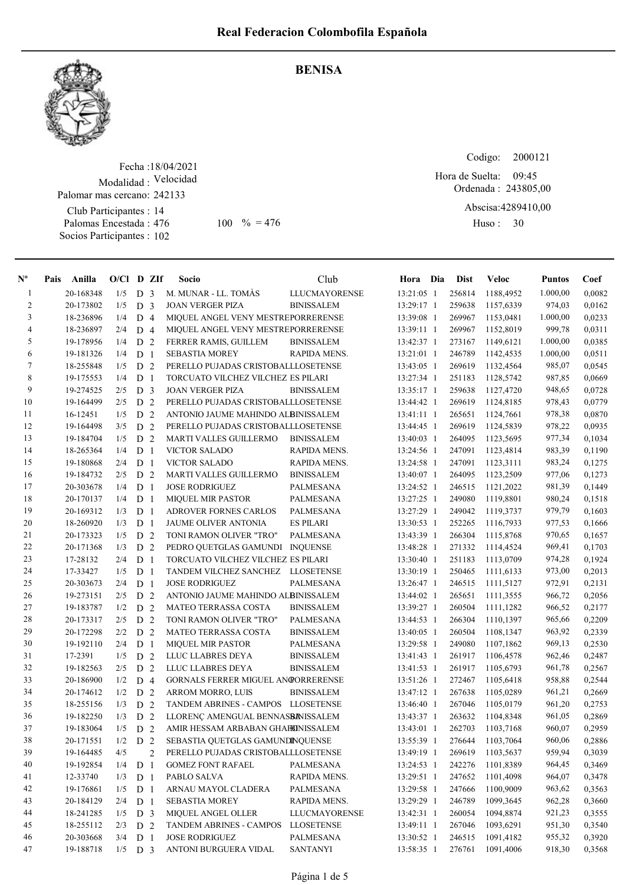

## BENISA

Fecha : 18/04/2021 Modalidad : Velocidad Club Participantes : 14 Palomas Encestada : Socios Participantes : 102 Palomar mas cercano: 242133  $100 \t% = 476$  Huso: 30

Codigo: Ordenada : 243805,00 Abscisa: 4289410,00 Huso: 30 Hora de Suelta: 09:45

| $N^{\circ}$    | Pais | Anilla    | $O/Cl$ D ZIf |                |                | Socio                               | Club                 | Hora Dia     | <b>Dist</b> | Veloc     | <b>Puntos</b> | Coef   |
|----------------|------|-----------|--------------|----------------|----------------|-------------------------------------|----------------------|--------------|-------------|-----------|---------------|--------|
| $\mathbf{1}$   |      | 20-168348 | 1/5          | D              | 3              | M. MUNAR - LL. TOMÀS                | <b>LLUCMAYORENSE</b> | 13:21:05 1   | 256814      | 1188,4952 | 1.000,00      | 0,0082 |
| $\overline{2}$ |      | 20-173802 | 1/5          | D              | $\overline{3}$ | <b>JOAN VERGER PIZA</b>             | <b>BINISSALEM</b>    | 13:29:17 1   | 259638      | 1157,6339 | 974,03        | 0,0162 |
| $\overline{3}$ |      | 18-236896 | 1/4          | D 4            |                | MIQUEL ANGEL VENY MESTREPORRERENSE  |                      | 13:39:08 1   | 269967      | 1153,0481 | 1.000,00      | 0,0233 |
| $\overline{4}$ |      | 18-236897 | 2/4          | D 4            |                | MIQUEL ANGEL VENY MESTREPORRERENSE  |                      | 13:39:11 1   | 269967      | 1152,8019 | 999,78        | 0,0311 |
| 5              |      | 19-178956 | 1/4          | D 2            |                | FERRER RAMIS, GUILLEM               | <b>BINISSALEM</b>    | 13:42:37 1   | 273167      | 1149,6121 | 1.000,00      | 0,0385 |
| 6              |      | 19-181326 | 1/4          | D <sub>1</sub> |                | <b>SEBASTIA MOREY</b>               | RAPIDA MENS.         | 13:21:01 1   | 246789      | 1142,4535 | 1.000,00      | 0,0511 |
| 7              |      | 18-255848 | 1/5          | D <sub>2</sub> |                | PERELLO PUJADAS CRISTOBALLLOSETENSE |                      | 13:43:05 1   | 269619      | 1132,4564 | 985,07        | 0,0545 |
| $\,8\,$        |      | 19-175553 | 1/4          | D              | $\overline{1}$ | TORCUATO VILCHEZ VILCHEZ ES PILARI  |                      | 13:27:34 1   | 251183      | 1128,5742 | 987,85        | 0,0669 |
| 9              |      | 19-274525 | 2/5          | D <sub>3</sub> |                | <b>JOAN VERGER PIZA</b>             | <b>BINISSALEM</b>    | 13:35:17 1   | 259638      | 1127,4720 | 948,65        | 0,0728 |
| 10             |      | 19-164499 | 2/5          | D              | 2              | PERELLO PUJADAS CRISTOBALLLOSETENSE |                      | 13:44:42 1   | 269619      | 1124,8185 | 978,43        | 0.0779 |
| 11             |      | 16-12451  | 1/5          | D              | 2              | ANTONIO JAUME MAHINDO ALBINISSALEM  |                      | $13:41:11$ 1 | 265651      | 1124,7661 | 978,38        | 0,0870 |
| 12             |      | 19-164498 | 3/5          | D              | 2              | PERELLO PUJADAS CRISTOBALLLOSETENSE |                      | 13:44:45 1   | 269619      | 1124,5839 | 978,22        | 0,0935 |
| 13             |      | 19-184704 | 1/5          | D              | 2              | MARTI VALLES GUILLERMO              | <b>BINISSALEM</b>    | 13:40:03 1   | 264095      | 1123,5695 | 977,34        | 0,1034 |
| 14             |      | 18-265364 | 1/4          | D              | $\overline{1}$ | <b>VICTOR SALADO</b>                | RAPIDA MENS.         | 13:24:56 1   | 247091      | 1123,4814 | 983,39        | 0,1190 |
| 15             |      | 19-180868 | 2/4          | D <sub>1</sub> |                | <b>VICTOR SALADO</b>                | RAPIDA MENS.         | 13:24:58 1   | 247091      | 1123,3111 | 983,24        | 0,1275 |
| 16             |      | 19-184732 | 2/5          | D <sub>2</sub> |                | <b>MARTI VALLES GUILLERMO</b>       | <b>BINISSALEM</b>    | 13:40:07 1   | 264095      | 1123,2509 | 977,06        | 0,1273 |
| 17             |      | 20-303678 | 1/4          | D <sub>1</sub> |                | <b>JOSE RODRIGUEZ</b>               | PALMESANA            | 13:24:52 1   | 246515      | 1121,2022 | 981,39        | 0,1449 |
| 18             |      | 20-170137 | 1/4          | D <sub>1</sub> |                | <b>MIQUEL MIR PASTOR</b>            | <b>PALMESANA</b>     | 13:27:25 1   | 249080      | 1119,8801 | 980,24        | 0,1518 |
| 19             |      | 20-169312 | 1/3          | D <sub>1</sub> |                | <b>ADROVER FORNES CARLOS</b>        | PALMESANA            | 13:27:29 1   | 249042      | 1119,3737 | 979,79        | 0,1603 |
| 20             |      | 18-260920 | 1/3          | D              | $\overline{1}$ | JAUME OLIVER ANTONIA                | <b>ES PILARI</b>     | 13:30:53 1   | 252265      | 1116,7933 | 977,53        | 0,1666 |
| 21             |      | 20-173323 | 1/5          | D              | 2              | TONI RAMON OLIVER "TRO"             | <b>PALMESANA</b>     | 13:43:39 1   | 266304      | 1115,8768 | 970,65        | 0,1657 |
| $22\,$         |      | 20-171368 | 1/3          | D              | 2              | PEDRO QUETGLAS GAMUNDI INQUENSE     |                      | 13:48:28 1   | 271332      | 1114,4524 | 969,41        | 0,1703 |
| 23             |      | 17-28132  | 2/4          | D              | $\mathbf{1}$   | TORCUATO VILCHEZ VILCHEZ ES PILARI  |                      | 13:30:40 1   | 251183      | 1113,0709 | 974,28        | 0,1924 |
| 24             |      | 17-33427  | 1/5          | D <sub>1</sub> |                | TANDEM VILCHEZ SANCHEZ LLOSETENSE   |                      | 13:30:19 1   | 250465      | 1111,6133 | 973,00        | 0,2013 |
| 25             |      | 20-303673 | 2/4          | D <sub>1</sub> |                | <b>JOSE RODRIGUEZ</b>               | PALMESANA            | 13:26:47 1   | 246515      | 1111,5127 | 972,91        | 0,2131 |
| 26             |      | 19-273151 | 2/5          | D              | $\overline{2}$ | ANTONIO JAUME MAHINDO ALBINISSALEM  |                      | 13:44:02 1   | 265651      | 1111,3555 | 966,72        | 0,2056 |
| 27             |      | 19-183787 | 1/2          | D              | 2              | <b>MATEO TERRASSA COSTA</b>         | <b>BINISSALEM</b>    | 13:39:27 1   | 260504      | 1111,1282 | 966,52        | 0,2177 |
| 28             |      | 20-173317 | 2/5          | D 2            |                | TONI RAMON OLIVER "TRO"             | PALMESANA            | 13:44:53 1   | 266304      | 1110,1397 | 965,66        | 0,2209 |
| 29             |      | 20-172298 | 2/2          | D <sub>2</sub> |                | MATEO TERRASSA COSTA                | <b>BINISSALEM</b>    | 13:40:05 1   | 260504      | 1108,1347 | 963,92        | 0,2339 |
| 30             |      | 19-192110 | 2/4          | D <sub>1</sub> |                | <b>MIQUEL MIR PASTOR</b>            | <b>PALMESANA</b>     | 13:29:58 1   | 249080      | 1107,1862 | 969,13        | 0,2530 |
| 31             |      | 17-2391   | 1/5          | D <sub>2</sub> |                | LLUC LLABRES DEYA                   | <b>BINISSALEM</b>    | 13:41:43 1   | 261917      | 1106,4578 | 962,46        | 0,2487 |
| 32             |      | 19-182563 | 2/5          | D              | 2              | LLUC LLABRES DEYA                   | <b>BINISSALEM</b>    | 13:41:53 1   | 261917      | 1105,6793 | 961,78        | 0,2567 |
| 33             |      | 20-186900 | 1/2          | D              | $\overline{4}$ | GORNALS FERRER MIGUEL ANGORRERENSE  |                      | 13:51:26 1   | 272467      | 1105,6418 | 958,88        | 0,2544 |
| 34             |      | 20-174612 | 1/2          | D              | 2              | ARROM MORRO, LUIS                   | <b>BINISSALEM</b>    | 13:47:12 1   | 267638      | 1105,0289 | 961,21        | 0,2669 |
| 35             |      | 18-255156 | 1/3          | D              | 2              | TANDEM ABRINES - CAMPOS LLOSETENSE  |                      | 13:46:40 1   | 267046      | 1105,0179 | 961,20        | 0,2753 |
| 36             |      | 19-182250 | 1/3          | D              | 2              | LLORENÇ AMENGUAL BENNASBANISSALEM   |                      | 13:43:37 1   | 263632      | 1104,8348 | 961,05        | 0,2869 |
| 37             |      | 19-183064 | 1/5          | D              | 2              | AMIR HESSAM ARBABAN GHAFEINISSALEM  |                      | 13:43:01 1   | 262703      | 1103,7168 | 960,07        | 0,2959 |
| 38             |      | 20-171551 | 1/2          | D <sub>2</sub> |                | SEBASTIA QUETGLAS GAMUNDINQUENSE    |                      | 13:55:39 1   | 276644      | 1103,7064 | 960,06        | 0,2886 |
| 39             |      | 19-164485 | 4/5          |                | 2              | PERELLO PUJADAS CRISTOBALLLOSETENSE |                      | 13:49:19 1   | 269619      | 1103,5637 | 959,94        | 0,3039 |
| 40             |      | 19-192854 | 1/4          | D <sub>1</sub> |                | <b>GOMEZ FONT RAFAEL</b>            | <b>PALMESANA</b>     | 13:24:53 1   | 242276      | 1101,8389 | 964,45        | 0,3469 |
| 41             |      | 12-33740  | 1/3          | D <sub>1</sub> |                | PABLO SALVA                         | RAPIDA MENS.         | 13:29:51 1   | 247652      | 1101,4098 | 964,07        | 0,3478 |
| 42             |      | 19-176861 | 1/5          | D <sub>1</sub> |                | ARNAU MAYOL CLADERA                 | PALMESANA            | 13:29:58 1   | 247666      | 1100,9009 | 963,62        | 0,3563 |
| 43             |      | 20-184129 | 2/4          | D <sub>1</sub> |                | <b>SEBASTIA MOREY</b>               | RAPIDA MENS.         | 13:29:29 1   | 246789      | 1099,3645 | 962,28        | 0,3660 |
| 44             |      | 18-241285 | 1/5          | D <sub>3</sub> |                | MIQUEL ANGEL OLLER                  | <b>LLUCMAYORENSE</b> | 13:42:31 1   | 260054      | 1094,8874 | 921,23        | 0,3555 |
| 45             |      | 18-255112 | 2/3          | D 2            |                | TANDEM ABRINES - CAMPOS             | <b>LLOSETENSE</b>    | 13:49:11 1   | 267046      | 1093,6291 | 951,30        | 0,3540 |
| 46             |      | 20-303668 | 3/4          | D <sub>1</sub> |                | <b>JOSE RODRIGUEZ</b>               | PALMESANA            | 13:30:52 1   | 246515      | 1091,4182 | 955,32        | 0,3920 |
| 47             |      | 19-188718 | $1/5$ D 3    |                |                | ANTONI BURGUERA VIDAL               | <b>SANTANYI</b>      | 13:58:35 1   | 276761      | 1091,4006 | 918,30        | 0,3568 |
|                |      |           |              |                |                |                                     |                      |              |             |           |               |        |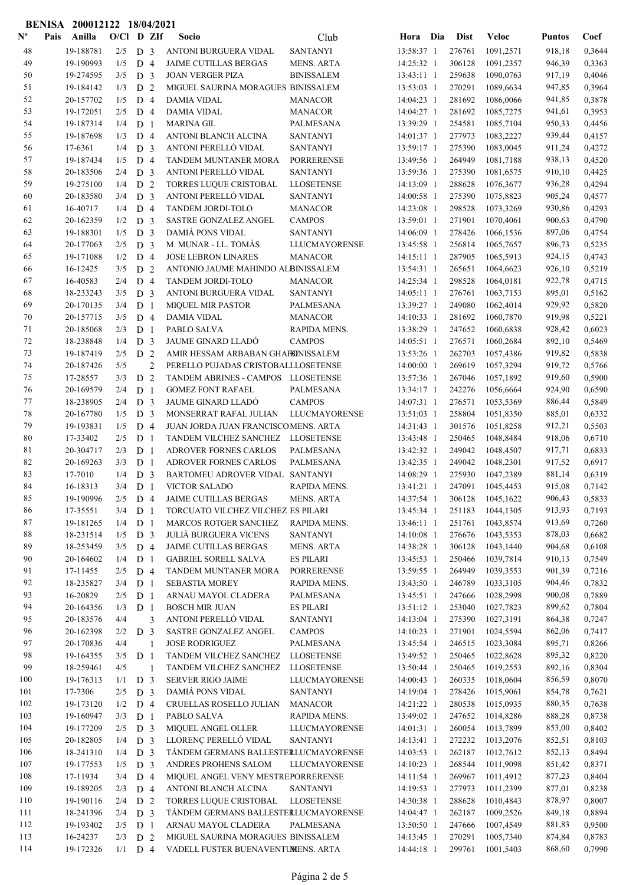| Anilla<br>O/Cl D ZIf<br>Pais<br>Socio<br>Club<br>Dia<br><b>Dist</b><br>Veloc<br>Coef<br>Hora<br><b>Puntos</b><br>48<br>19-188781<br><b>SANTANYI</b><br>918,18<br>$2/5$ D 3<br>ANTONI BURGUERA VIDAL<br>13:58:37 1<br>276761<br>1091,2571<br>49<br>19-190993<br>14:25:32 1<br>306128<br>946,39<br>1/5<br>D <sub>4</sub><br><b>JAIME CUTILLAS BERGAS</b><br><b>MENS. ARTA</b><br>1091,2357<br>50<br>19-274595<br>3/5<br>D <sub>3</sub><br><b>JOAN VERGER PIZA</b><br><b>BINISSALEM</b><br>13:43:11 1<br>259638<br>1090,0763<br>917,19<br>51<br>19-184142<br>1/3<br>D <sub>2</sub><br>MIGUEL SAURINA MORAGUES BINISSALEM<br>13:53:03 1<br>270291<br>1089,6634<br>947,85<br>52<br>20-157702<br>1/5<br>D <sub>4</sub><br><b>DAMIA VIDAL</b><br>14:04:23 1<br>281692<br>1086,0066<br>941,85<br><b>MANACOR</b><br>53<br>19-172051<br>2/5<br>D <sub>4</sub><br><b>DAMIA VIDAL</b><br><b>MANACOR</b><br>14:04:27 1<br>281692<br>941,61<br>1085,7275<br>54<br>19-187314<br>1/4<br>D <sub>1</sub><br><b>MARINA GIL</b><br>13:39:29 1<br>254581<br>1085,7104<br>950,33<br><b>PALMESANA</b><br>55<br>1/3<br>D <sub>4</sub><br>ANTONI BLANCH ALCINA<br>277973<br>939,44<br>19-187698<br><b>SANTANYI</b><br>14:01:37 1<br>1083,2227<br>56<br>ANTONI PERELLÓ VIDAL<br>17-6361<br>1/4<br>D <sub>3</sub><br><b>SANTANYI</b><br>13:59:17 1<br>275390<br>1083,0045<br>911,24<br>57<br>19-187434<br>1/5<br>D <sub>4</sub><br><b>TANDEM MUNTANER MORA</b><br><b>PORRERENSE</b><br>13:49:56 1<br>264949<br>1081,7188<br>938,13<br>58<br>ANTONI PERELLÓ VIDAL<br>20-183506<br>2/4<br>D <sub>3</sub><br><b>SANTANYI</b><br>13:59:36 1<br>275390<br>910,10<br>1081,6575<br>59<br>19-275100<br>D <sub>2</sub><br>TORRES LUQUE CRISTOBAL<br><b>LLOSETENSE</b><br>14:13:09 1<br>288628<br>936,28<br>1/4<br>1076,3677<br>ANTONI PERELLÓ VIDAL<br>60<br>20-183580<br>D <sub>3</sub><br><b>SANTANYI</b><br>14:00:58 1<br>275390<br>905,24<br>3/4<br>1075,8823<br>16-40717<br>D <sub>4</sub><br><b>TANDEM JORDI-TOLO</b><br>14:23:08 1<br>298528<br>930,86<br>61<br>1/4<br><b>MANACOR</b><br>1073,3269<br>62<br>20-162359<br>1/2<br>D <sub>3</sub><br>SASTRE GONZALEZ ANGEL<br><b>CAMPOS</b><br>13:59:01 1<br>271901<br>900,63<br>1070,4061<br>63<br>19-188301<br>1/5<br>D <sub>3</sub><br><b>DAMIÁ PONS VIDAL</b><br><b>SANTANYI</b><br>14:06:09 1<br>278426<br>897,06<br>1066,1536<br>M. MUNAR - LL. TOMÀS<br>64<br>20-177063<br>2/5<br>D <sub>3</sub><br>13:45:58 1<br>256814<br>896,73<br>LLUCMAYORENSE<br>1065,7657<br>65<br>19-171088<br>1/2<br>D 4<br><b>JOSE LEBRON LINARES</b><br><b>MANACOR</b><br>287905<br>924,15<br>$14:15:11$ 1<br>1065,5913<br>66<br>3/5<br>D <sub>2</sub><br>926,10<br>16-12425<br>ANTONIO JAUME MAHINDO ALBINISSALEM<br>$13:54:31$ 1<br>265651<br>1064,6623<br>67<br>16-40583<br>D <sub>4</sub><br>298528<br>922,78<br>2/4<br>TANDEM JORDI-TOLO<br><b>MANACOR</b><br>14:25:34 1<br>1064,0181<br>68<br>3/5<br>D <sub>3</sub><br>ANTONI BURGUERA VIDAL<br>14:05:11 1<br>276761<br>895,01<br>18-233243<br><b>SANTANYI</b><br>1063,7153<br>69<br>20-170135<br>3/4<br>D <sub>1</sub><br>PALMESANA<br>13:39:27 1<br>249080<br>1062,4014<br>929,92<br><b>MIQUEL MIR PASTOR</b><br>919,98<br>70<br>20-157715<br>D 4<br><b>MANACOR</b><br>14:10:33 1<br>281692<br>1060,7870<br>0,5221<br>3/5<br><b>DAMIA VIDAL</b><br>71<br>20-185068<br>2/3<br>D <sub>1</sub><br>PABLO SALVA<br>RAPIDA MENS.<br>13:38:29 1<br>247652<br>928,42<br>1060,6838<br>72<br>18-238848<br>D <sub>3</sub><br><b>JAUME GINARD LLADO</b><br><b>CAMPOS</b><br>$14:05:51$ 1<br>276571<br>892,10<br>1/4<br>1060,2684<br>73<br>19-187419<br>D <sub>2</sub><br>13:53:26 1<br>262703<br>919,82<br>2/5<br>AMIR HESSAM ARBABAN GHAFEINISSALEM<br>1057,4386<br>74<br>20-187426<br>5/5<br>$\overline{2}$<br>PERELLO PUJADAS CRISTOBALLLOSETENSE<br>14:00:00 1<br>269619<br>919,72<br>1057,3294<br>75<br>17-28557<br>3/3<br>D <sub>2</sub><br>TANDEM ABRINES - CAMPOS LLOSETENSE<br>13:57:36 1<br>267046<br>1057,1892<br>919,60<br>76<br>20-169579<br>2/4<br>D <sub>1</sub><br><b>GOMEZ FONT RAFAEL</b><br>PALMESANA<br>242276<br>924,90<br>13:34:17 1<br>1056,6664<br><b>CAMPOS</b><br>77<br>18-238905<br>2/4<br>D <sub>3</sub><br><b>JAUME GINARD LLADÓ</b><br>14:07:31 1<br>276571<br>1053,5369<br>886,44<br>78<br>20-167780<br>1/5<br>D <sub>3</sub><br>MONSERRAT RAFAL JULIAN<br>13:51:03 1<br>258804<br>885,01<br>LLUCMAYORENSE<br>1051,8350<br>79<br>19-193831<br>D <sub>4</sub><br>JUAN JORDA JUAN FRANCISCOMENS. ARTA<br>301576<br>912,21<br>1/5<br>14:31:43 1<br>1051,8258<br>80<br>17-33402<br>2/5<br>D <sub>1</sub><br>TANDEM VILCHEZ SANCHEZ<br><b>LLOSETENSE</b><br>13:43:48 1<br>250465<br>1048,8484<br>918,06<br>81<br>20-304717<br>2/3<br>D <sub>1</sub><br>ADROVER FORNES CARLOS<br>PALMESANA<br>13:42:32 1<br>249042<br>1048,4507<br>917,71<br>82<br>20-169263<br>ADROVER FORNES CARLOS<br>PALMESANA<br>13:42:35 1<br>249042<br>1048,2301<br>917,52<br>3/3<br>D <sub>1</sub><br>83<br>17-7010<br>1/4<br>BARTOMEU ADROVER VIDAL SANTANYI<br>14:08:29 1<br>275930<br>881,14<br>D <sub>3</sub><br>1047,2389<br>84<br>13:41:21 1<br>915,08<br>16-18313<br>3/4<br>D <sub>1</sub><br><b>VICTOR SALADO</b><br>RAPIDA MENS.<br>247091<br>1045,4453<br>85<br>906,43<br>19-190996<br><b>MENS. ARTA</b><br>14:37:54 1<br>1045,1622<br>2/5<br>D 4<br><b>JAIME CUTILLAS BERGAS</b><br>306128<br>86<br>913,93<br>17-35551<br>3/4<br>D <sub>1</sub><br>TORCUATO VILCHEZ VILCHEZ ES PILARI<br>13:45:34 1<br>251183<br>1044,1305<br>87<br>19-181265<br>1/4<br>D <sub>1</sub><br>MARCOS ROTGER SANCHEZ<br>RAPIDA MENS.<br>13:46:11 1<br>251761<br>1043,8574<br>913,69<br>$88\,$<br>D <sub>3</sub><br><b>JULIÀ BURGUERA VICENS</b><br>878,03<br>18-231514<br>1/5<br><b>SANTANYI</b><br>14:10:08 1<br>276676<br>1043,5353<br>89<br>18-253459<br>3/5<br>D <sub>4</sub><br>JAIME CUTILLAS BERGAS<br><b>MENS. ARTA</b><br>14:38:28 1<br>306128<br>1043,1440<br>904,68<br>90<br>20-164602<br>1/4<br>D <sub>1</sub><br><b>GABRIEL SORELL SALVA</b><br><b>ES PILARI</b><br>13:45:53 1<br>250466<br>1039,7814<br>910,13<br>91<br>17-11455<br>D 4<br>13:59:55 1<br>264949<br>1039,3553<br>901,39<br>2/5<br>TANDEM MUNTANER MORA<br>PORRERENSE<br>92<br>18-235827<br>3/4<br>D <sub>1</sub><br><b>SEBASTIA MOREY</b><br>RAPIDA MENS.<br>13:43:50 1<br>246789<br>1033,3105<br>904,46<br>93<br>16-20829<br>D <sub>1</sub><br>ARNAU MAYOL CLADERA<br>PALMESANA<br>13:45:51 1<br>247666<br>1028,2998<br>900,08<br>2/5<br>94<br>899,62<br>20-164356<br>1/3<br>D <sub>1</sub><br><b>BOSCH MIR JUAN</b><br><b>ES PILARI</b><br>13:51:12 1<br>253040<br>1027,7823<br>ANTONI PERELLÓ VIDAL<br>95<br>20-183576<br><b>SANTANYI</b><br>14:13:04 1<br>275390<br>1027,3191<br>864,38<br>4/4<br>3<br>96<br>20-162398<br>D <sub>3</sub><br>SASTRE GONZALEZ ANGEL<br><b>CAMPOS</b><br>14:10:23 1<br>271901<br>1024,5594<br>862,06<br>2/2<br>97<br>20-170836<br>13:45:54 1<br>246515<br>1023,3084<br>895,71<br>4/4<br>1<br><b>JOSE RODRIGUEZ</b><br>PALMESANA<br>98<br>895,32<br>19-164355<br>TANDEM VILCHEZ SANCHEZ<br><b>LLOSETENSE</b><br>13:49:52 1<br>250465<br>1022,8628<br>3/5<br>D <sub>1</sub><br>99<br>18-259461<br>4/5<br>TANDEM VILCHEZ SANCHEZ<br><b>LLOSETENSE</b><br>13:50:44 1<br>250465<br>1019,2553<br>892,16<br>$\mathbf{1}$<br>100<br>856,59<br>19-176313<br>1/1<br>D <sub>3</sub><br><b>SERVER RIGO JAIME</b><br>14:00:43 1<br>260335<br>1018,0604<br>LLUCMAYORENSE<br>101<br>DAMIÁ PONS VIDAL<br>854,78<br>17-7306<br>2/5<br>D <sub>3</sub><br><b>SANTANYI</b><br>14:19:04 1<br>278426<br>1015,9061<br>102<br>19-173120<br>1/2<br>D 4<br>CRUELLAS ROSELLO JULIAN<br>14:21:22 1<br>280538<br>1015,0935<br>880,35<br><b>MANACOR</b><br>103<br>19-160947<br>D <sub>1</sub><br>247652<br>888,28<br>3/3<br>PABLO SALVA<br>RAPIDA MENS.<br>13:49:02 1<br>1014,8286<br>104<br>853,00<br>19-177209<br>2/5<br>D <sub>3</sub><br>MIQUEL ANGEL OLLER<br>14:01:31 1<br>260054<br>1013,7899<br>LLUCMAYORENSE<br>LLORENÇ PERELLÓ VIDAL<br>20-182805<br>1/4<br>D <sub>3</sub><br><b>SANTANYI</b><br>14:13:41 1<br>272232<br>1013,2076<br>852,51<br>105<br>852,13<br>106<br>18-241310<br>D <sub>3</sub><br>TÁNDEM GERMANS BALLESTERLUCMAYORENSE<br>14:03:53 1<br>262187<br>1012,7612<br>1/4<br>107<br>268544<br>851,42<br>19-177553<br>D <sub>3</sub><br>ANDRES PROHENS SALOM<br><b>LLUCMAYORENSE</b><br>14:10:23 1<br>1011,9098<br>0,8371<br>1/5<br>108<br>17-11934<br>D 4<br>MIQUEL ANGEL VENY MESTREPORRERENSE<br>14:11:54 1<br>269967<br>1011,4912<br>877,23<br>3/4<br>109<br>877,01<br>19-189205<br>277973<br>2/3<br>D <sub>4</sub><br>ANTONI BLANCH ALCINA<br><b>SANTANYI</b><br>14:19:53 1<br>1011,2399<br>110<br>878,97<br>19-190116<br>D 2<br>TORRES LUQUE CRISTOBAL<br><b>LLOSETENSE</b><br>14:30:38 1<br>288628<br>2/4<br>1010,4843<br>111<br>D <sub>3</sub><br>849,18<br>18-241396<br>2/4<br>TÁNDEM GERMANS BALLESTERLUCMAYORENSE<br>14:04:47 1<br>262187<br>1009,2526<br>112<br>19-193402<br>D <sub>1</sub><br>ARNAU MAYOL CLADERA<br>PALMESANA<br>13:50:50 1<br>247666<br>1007,4549<br>881,83<br>3/5<br>113<br>D <sub>2</sub><br>874,84<br>16-24237<br>2/3<br>MIGUEL SAURINA MORAGUES BINISSALEM<br>14:13:45 1<br>270291<br>1005,7340<br>19-172326<br>$1/1$ D 4<br>VADELL FUSTER BUENAVENTUMENS. ARTA<br>14:44:18 1<br>299761<br>1001,5403<br>868,60 |                           | <b>BENISA</b> | 200012122 18/04/2021 |  |  |  |  |  |  |
|-----------------------------------------------------------------------------------------------------------------------------------------------------------------------------------------------------------------------------------------------------------------------------------------------------------------------------------------------------------------------------------------------------------------------------------------------------------------------------------------------------------------------------------------------------------------------------------------------------------------------------------------------------------------------------------------------------------------------------------------------------------------------------------------------------------------------------------------------------------------------------------------------------------------------------------------------------------------------------------------------------------------------------------------------------------------------------------------------------------------------------------------------------------------------------------------------------------------------------------------------------------------------------------------------------------------------------------------------------------------------------------------------------------------------------------------------------------------------------------------------------------------------------------------------------------------------------------------------------------------------------------------------------------------------------------------------------------------------------------------------------------------------------------------------------------------------------------------------------------------------------------------------------------------------------------------------------------------------------------------------------------------------------------------------------------------------------------------------------------------------------------------------------------------------------------------------------------------------------------------------------------------------------------------------------------------------------------------------------------------------------------------------------------------------------------------------------------------------------------------------------------------------------------------------------------------------------------------------------------------------------------------------------------------------------------------------------------------------------------------------------------------------------------------------------------------------------------------------------------------------------------------------------------------------------------------------------------------------------------------------------------------------------------------------------------------------------------------------------------------------------------------------------------------------------------------------------------------------------------------------------------------------------------------------------------------------------------------------------------------------------------------------------------------------------------------------------------------------------------------------------------------------------------------------------------------------------------------------------------------------------------------------------------------------------------------------------------------------------------------------------------------------------------------------------------------------------------------------------------------------------------------------------------------------------------------------------------------------------------------------------------------------------------------------------------------------------------------------------------------------------------------------------------------------------------------------------------------------------------------------------------------------------------------------------------------------------------------------------------------------------------------------------------------------------------------------------------------------------------------------------------------------------------------------------------------------------------------------------------------------------------------------------------------------------------------------------------------------------------------------------------------------------------------------------------------------------------------------------------------------------------------------------------------------------------------------------------------------------------------------------------------------------------------------------------------------------------------------------------------------------------------------------------------------------------------------------------------------------------------------------------------------------------------------------------------------------------------------------------------------------------------------------------------------------------------------------------------------------------------------------------------------------------------------------------------------------------------------------------------------------------------------------------------------------------------------------------------------------------------------------------------------------------------------------------------------------------------------------------------------------------------------------------------------------------------------------------------------------------------------------------------------------------------------------------------------------------------------------------------------------------------------------------------------------------------------------------------------------------------------------------------------------------------------------------------------------------------------------------------------------------------------------------------------------------------------------------------------------------------------------------------------------------------------------------------------------------------------------------------------------------------------------------------------------------------------------------------------------------------------------------------------------------------------------------------------------------------------------------------------------------------------------------------------------------------------------------------------------------------------------------------------------------------------------------------------------------------------------------------------------------------------------------------------------------------------------------------------------------------------------------------------------------------------------------------------------------------------------------------------------------------------------------------------------------------------------------------------------------------------------------------------------------------------------------------------------------------------------------------------------------------------------------------------------------------------------------------------------------------------------------------------------------------------------------------------------------------------------------------------------------------------------------------------------------------------------------------------------------------------------------------------------------------------------------------------------------------------------------------------------------------------------------------------------------------------------------------------------------------------------------------------------------------------------------------------------------------------------------------------------------------------------------------------------------------------------------------------------------------------------------------------------------------------------------------------------------------------------------------------------------------------------------------------------------------------------------------------------------------------------------------------------------------------------------------------------------------------------------------------------------------------------------------------------------------------------------------------------------------------------------------------------------------------------------------------------------------------------------------------------------------------------------------------------------------------------------------------------------------------------------------------------------------------|---------------------------|---------------|----------------------|--|--|--|--|--|--|
| 0,3644<br>0,3363<br>0,4046<br>0,3964<br>0,3878<br>0,3953<br>0,4456<br>0,4157<br>0,4272<br>0,4520<br>0,4425<br>0,4294<br>0,4577<br>0,4293<br>0,4790<br>0,4754<br>0,5235<br>0,4743<br>0,5219<br>0,4715<br>0,5162<br>0,5820<br>0,6023<br>0,5469<br>0,5838<br>0,5766<br>0,5900<br>0,6590<br>0,5849<br>0,6332<br>0,5503<br>0,6710<br>0,6833<br>0,6917<br>0,6319<br>0,7142<br>0,5833<br>0,7193<br>0,7260<br>0,6682<br>0,6108<br>0,7549<br>0,7216<br>0,7832<br>0,7889<br>0,7804<br>0,7247<br>0,7417<br>0,8266<br>0,8220<br>0,8304<br>0,8070<br>0,7621<br>0,7638<br>0,8738<br>0,8402<br>0,8103<br>0,8494<br>0,8404<br>0,8238<br>0,8007<br>0,8894<br>0,9500<br>0,8783<br>0,7990                                                                                                                                                                                                                                                                                                                                                                                                                                                                                                                                                                                                                                                                                                                                                                                                                                                                                                                                                                                                                                                                                                                                                                                                                                                                                                                                                                                                                                                                                                                                                                                                                                                                                                                                                                                                                                                                                                                                                                                                                                                                                                                                                                                                                                                                                                                                                                                                                                                                                                                                                                                                                                                                                                                                                                                                                                                                                                                                                                                                                                                                                                                                                                                                                                                                                                                                                                                                                                                                                                                                                                                                                                                                                                                                                                                                                                                                                                                                                                                                                                                                                                                                                                                                                                                                                                                                                                                                                                                                                                                                                                                                                                                                                                                                                                                                                                                                                                                                                                                                                                                                                                                                                                                                                                                                                                                                                                                                                                                                                                                                                                                                                                                                                                                                                                                                                                                                                                                                                                                                                                                                                                                                                                                                                                                                                                                                                                                                                                                                                                                                                                                                                                                                                                                                                                                                                                                                                                                                                                                                                                                                                                                                                                                                                                                                                                                                                                                                                                                                                                                                                                                                                                                                                                                                                                                                                                                                                                                                                                                                                                                                                                                                                                                                                                                                                                                                                                                                                                                                                                                                                                                                                        | $\mathbf{N}^{\mathbf{o}}$ |               |                      |  |  |  |  |  |  |
|                                                                                                                                                                                                                                                                                                                                                                                                                                                                                                                                                                                                                                                                                                                                                                                                                                                                                                                                                                                                                                                                                                                                                                                                                                                                                                                                                                                                                                                                                                                                                                                                                                                                                                                                                                                                                                                                                                                                                                                                                                                                                                                                                                                                                                                                                                                                                                                                                                                                                                                                                                                                                                                                                                                                                                                                                                                                                                                                                                                                                                                                                                                                                                                                                                                                                                                                                                                                                                                                                                                                                                                                                                                                                                                                                                                                                                                                                                                                                                                                                                                                                                                                                                                                                                                                                                                                                                                                                                                                                                                                                                                                                                                                                                                                                                                                                                                                                                                                                                                                                                                                                                                                                                                                                                                                                                                                                                                                                                                                                                                                                                                                                                                                                                                                                                                                                                                                                                                                                                                                                                                                                                                                                                                                                                                                                                                                                                                                                                                                                                                                                                                                                                                                                                                                                                                                                                                                                                                                                                                                                                                                                                                                                                                                                                                                                                                                                                                                                                                                                                                                                                                                                                                                                                                                                                                                                                                                                                                                                                                                                                                                                                                                                                                                                                                                                                                                                                                                                                                                                                                                                                                                                                                                                                                                                                                                                                                                                                                                                                                                                                                                                                                                                                                                                                                                                               |                           |               |                      |  |  |  |  |  |  |
|                                                                                                                                                                                                                                                                                                                                                                                                                                                                                                                                                                                                                                                                                                                                                                                                                                                                                                                                                                                                                                                                                                                                                                                                                                                                                                                                                                                                                                                                                                                                                                                                                                                                                                                                                                                                                                                                                                                                                                                                                                                                                                                                                                                                                                                                                                                                                                                                                                                                                                                                                                                                                                                                                                                                                                                                                                                                                                                                                                                                                                                                                                                                                                                                                                                                                                                                                                                                                                                                                                                                                                                                                                                                                                                                                                                                                                                                                                                                                                                                                                                                                                                                                                                                                                                                                                                                                                                                                                                                                                                                                                                                                                                                                                                                                                                                                                                                                                                                                                                                                                                                                                                                                                                                                                                                                                                                                                                                                                                                                                                                                                                                                                                                                                                                                                                                                                                                                                                                                                                                                                                                                                                                                                                                                                                                                                                                                                                                                                                                                                                                                                                                                                                                                                                                                                                                                                                                                                                                                                                                                                                                                                                                                                                                                                                                                                                                                                                                                                                                                                                                                                                                                                                                                                                                                                                                                                                                                                                                                                                                                                                                                                                                                                                                                                                                                                                                                                                                                                                                                                                                                                                                                                                                                                                                                                                                                                                                                                                                                                                                                                                                                                                                                                                                                                                                                               |                           |               |                      |  |  |  |  |  |  |
|                                                                                                                                                                                                                                                                                                                                                                                                                                                                                                                                                                                                                                                                                                                                                                                                                                                                                                                                                                                                                                                                                                                                                                                                                                                                                                                                                                                                                                                                                                                                                                                                                                                                                                                                                                                                                                                                                                                                                                                                                                                                                                                                                                                                                                                                                                                                                                                                                                                                                                                                                                                                                                                                                                                                                                                                                                                                                                                                                                                                                                                                                                                                                                                                                                                                                                                                                                                                                                                                                                                                                                                                                                                                                                                                                                                                                                                                                                                                                                                                                                                                                                                                                                                                                                                                                                                                                                                                                                                                                                                                                                                                                                                                                                                                                                                                                                                                                                                                                                                                                                                                                                                                                                                                                                                                                                                                                                                                                                                                                                                                                                                                                                                                                                                                                                                                                                                                                                                                                                                                                                                                                                                                                                                                                                                                                                                                                                                                                                                                                                                                                                                                                                                                                                                                                                                                                                                                                                                                                                                                                                                                                                                                                                                                                                                                                                                                                                                                                                                                                                                                                                                                                                                                                                                                                                                                                                                                                                                                                                                                                                                                                                                                                                                                                                                                                                                                                                                                                                                                                                                                                                                                                                                                                                                                                                                                                                                                                                                                                                                                                                                                                                                                                                                                                                                                                               |                           |               |                      |  |  |  |  |  |  |
|                                                                                                                                                                                                                                                                                                                                                                                                                                                                                                                                                                                                                                                                                                                                                                                                                                                                                                                                                                                                                                                                                                                                                                                                                                                                                                                                                                                                                                                                                                                                                                                                                                                                                                                                                                                                                                                                                                                                                                                                                                                                                                                                                                                                                                                                                                                                                                                                                                                                                                                                                                                                                                                                                                                                                                                                                                                                                                                                                                                                                                                                                                                                                                                                                                                                                                                                                                                                                                                                                                                                                                                                                                                                                                                                                                                                                                                                                                                                                                                                                                                                                                                                                                                                                                                                                                                                                                                                                                                                                                                                                                                                                                                                                                                                                                                                                                                                                                                                                                                                                                                                                                                                                                                                                                                                                                                                                                                                                                                                                                                                                                                                                                                                                                                                                                                                                                                                                                                                                                                                                                                                                                                                                                                                                                                                                                                                                                                                                                                                                                                                                                                                                                                                                                                                                                                                                                                                                                                                                                                                                                                                                                                                                                                                                                                                                                                                                                                                                                                                                                                                                                                                                                                                                                                                                                                                                                                                                                                                                                                                                                                                                                                                                                                                                                                                                                                                                                                                                                                                                                                                                                                                                                                                                                                                                                                                                                                                                                                                                                                                                                                                                                                                                                                                                                                                                               |                           |               |                      |  |  |  |  |  |  |
|                                                                                                                                                                                                                                                                                                                                                                                                                                                                                                                                                                                                                                                                                                                                                                                                                                                                                                                                                                                                                                                                                                                                                                                                                                                                                                                                                                                                                                                                                                                                                                                                                                                                                                                                                                                                                                                                                                                                                                                                                                                                                                                                                                                                                                                                                                                                                                                                                                                                                                                                                                                                                                                                                                                                                                                                                                                                                                                                                                                                                                                                                                                                                                                                                                                                                                                                                                                                                                                                                                                                                                                                                                                                                                                                                                                                                                                                                                                                                                                                                                                                                                                                                                                                                                                                                                                                                                                                                                                                                                                                                                                                                                                                                                                                                                                                                                                                                                                                                                                                                                                                                                                                                                                                                                                                                                                                                                                                                                                                                                                                                                                                                                                                                                                                                                                                                                                                                                                                                                                                                                                                                                                                                                                                                                                                                                                                                                                                                                                                                                                                                                                                                                                                                                                                                                                                                                                                                                                                                                                                                                                                                                                                                                                                                                                                                                                                                                                                                                                                                                                                                                                                                                                                                                                                                                                                                                                                                                                                                                                                                                                                                                                                                                                                                                                                                                                                                                                                                                                                                                                                                                                                                                                                                                                                                                                                                                                                                                                                                                                                                                                                                                                                                                                                                                                                                               |                           |               |                      |  |  |  |  |  |  |
|                                                                                                                                                                                                                                                                                                                                                                                                                                                                                                                                                                                                                                                                                                                                                                                                                                                                                                                                                                                                                                                                                                                                                                                                                                                                                                                                                                                                                                                                                                                                                                                                                                                                                                                                                                                                                                                                                                                                                                                                                                                                                                                                                                                                                                                                                                                                                                                                                                                                                                                                                                                                                                                                                                                                                                                                                                                                                                                                                                                                                                                                                                                                                                                                                                                                                                                                                                                                                                                                                                                                                                                                                                                                                                                                                                                                                                                                                                                                                                                                                                                                                                                                                                                                                                                                                                                                                                                                                                                                                                                                                                                                                                                                                                                                                                                                                                                                                                                                                                                                                                                                                                                                                                                                                                                                                                                                                                                                                                                                                                                                                                                                                                                                                                                                                                                                                                                                                                                                                                                                                                                                                                                                                                                                                                                                                                                                                                                                                                                                                                                                                                                                                                                                                                                                                                                                                                                                                                                                                                                                                                                                                                                                                                                                                                                                                                                                                                                                                                                                                                                                                                                                                                                                                                                                                                                                                                                                                                                                                                                                                                                                                                                                                                                                                                                                                                                                                                                                                                                                                                                                                                                                                                                                                                                                                                                                                                                                                                                                                                                                                                                                                                                                                                                                                                                                                               |                           |               |                      |  |  |  |  |  |  |
|                                                                                                                                                                                                                                                                                                                                                                                                                                                                                                                                                                                                                                                                                                                                                                                                                                                                                                                                                                                                                                                                                                                                                                                                                                                                                                                                                                                                                                                                                                                                                                                                                                                                                                                                                                                                                                                                                                                                                                                                                                                                                                                                                                                                                                                                                                                                                                                                                                                                                                                                                                                                                                                                                                                                                                                                                                                                                                                                                                                                                                                                                                                                                                                                                                                                                                                                                                                                                                                                                                                                                                                                                                                                                                                                                                                                                                                                                                                                                                                                                                                                                                                                                                                                                                                                                                                                                                                                                                                                                                                                                                                                                                                                                                                                                                                                                                                                                                                                                                                                                                                                                                                                                                                                                                                                                                                                                                                                                                                                                                                                                                                                                                                                                                                                                                                                                                                                                                                                                                                                                                                                                                                                                                                                                                                                                                                                                                                                                                                                                                                                                                                                                                                                                                                                                                                                                                                                                                                                                                                                                                                                                                                                                                                                                                                                                                                                                                                                                                                                                                                                                                                                                                                                                                                                                                                                                                                                                                                                                                                                                                                                                                                                                                                                                                                                                                                                                                                                                                                                                                                                                                                                                                                                                                                                                                                                                                                                                                                                                                                                                                                                                                                                                                                                                                                                                               |                           |               |                      |  |  |  |  |  |  |
|                                                                                                                                                                                                                                                                                                                                                                                                                                                                                                                                                                                                                                                                                                                                                                                                                                                                                                                                                                                                                                                                                                                                                                                                                                                                                                                                                                                                                                                                                                                                                                                                                                                                                                                                                                                                                                                                                                                                                                                                                                                                                                                                                                                                                                                                                                                                                                                                                                                                                                                                                                                                                                                                                                                                                                                                                                                                                                                                                                                                                                                                                                                                                                                                                                                                                                                                                                                                                                                                                                                                                                                                                                                                                                                                                                                                                                                                                                                                                                                                                                                                                                                                                                                                                                                                                                                                                                                                                                                                                                                                                                                                                                                                                                                                                                                                                                                                                                                                                                                                                                                                                                                                                                                                                                                                                                                                                                                                                                                                                                                                                                                                                                                                                                                                                                                                                                                                                                                                                                                                                                                                                                                                                                                                                                                                                                                                                                                                                                                                                                                                                                                                                                                                                                                                                                                                                                                                                                                                                                                                                                                                                                                                                                                                                                                                                                                                                                                                                                                                                                                                                                                                                                                                                                                                                                                                                                                                                                                                                                                                                                                                                                                                                                                                                                                                                                                                                                                                                                                                                                                                                                                                                                                                                                                                                                                                                                                                                                                                                                                                                                                                                                                                                                                                                                                                                               |                           |               |                      |  |  |  |  |  |  |
|                                                                                                                                                                                                                                                                                                                                                                                                                                                                                                                                                                                                                                                                                                                                                                                                                                                                                                                                                                                                                                                                                                                                                                                                                                                                                                                                                                                                                                                                                                                                                                                                                                                                                                                                                                                                                                                                                                                                                                                                                                                                                                                                                                                                                                                                                                                                                                                                                                                                                                                                                                                                                                                                                                                                                                                                                                                                                                                                                                                                                                                                                                                                                                                                                                                                                                                                                                                                                                                                                                                                                                                                                                                                                                                                                                                                                                                                                                                                                                                                                                                                                                                                                                                                                                                                                                                                                                                                                                                                                                                                                                                                                                                                                                                                                                                                                                                                                                                                                                                                                                                                                                                                                                                                                                                                                                                                                                                                                                                                                                                                                                                                                                                                                                                                                                                                                                                                                                                                                                                                                                                                                                                                                                                                                                                                                                                                                                                                                                                                                                                                                                                                                                                                                                                                                                                                                                                                                                                                                                                                                                                                                                                                                                                                                                                                                                                                                                                                                                                                                                                                                                                                                                                                                                                                                                                                                                                                                                                                                                                                                                                                                                                                                                                                                                                                                                                                                                                                                                                                                                                                                                                                                                                                                                                                                                                                                                                                                                                                                                                                                                                                                                                                                                                                                                                                                               |                           |               |                      |  |  |  |  |  |  |
|                                                                                                                                                                                                                                                                                                                                                                                                                                                                                                                                                                                                                                                                                                                                                                                                                                                                                                                                                                                                                                                                                                                                                                                                                                                                                                                                                                                                                                                                                                                                                                                                                                                                                                                                                                                                                                                                                                                                                                                                                                                                                                                                                                                                                                                                                                                                                                                                                                                                                                                                                                                                                                                                                                                                                                                                                                                                                                                                                                                                                                                                                                                                                                                                                                                                                                                                                                                                                                                                                                                                                                                                                                                                                                                                                                                                                                                                                                                                                                                                                                                                                                                                                                                                                                                                                                                                                                                                                                                                                                                                                                                                                                                                                                                                                                                                                                                                                                                                                                                                                                                                                                                                                                                                                                                                                                                                                                                                                                                                                                                                                                                                                                                                                                                                                                                                                                                                                                                                                                                                                                                                                                                                                                                                                                                                                                                                                                                                                                                                                                                                                                                                                                                                                                                                                                                                                                                                                                                                                                                                                                                                                                                                                                                                                                                                                                                                                                                                                                                                                                                                                                                                                                                                                                                                                                                                                                                                                                                                                                                                                                                                                                                                                                                                                                                                                                                                                                                                                                                                                                                                                                                                                                                                                                                                                                                                                                                                                                                                                                                                                                                                                                                                                                                                                                                                                               |                           |               |                      |  |  |  |  |  |  |
|                                                                                                                                                                                                                                                                                                                                                                                                                                                                                                                                                                                                                                                                                                                                                                                                                                                                                                                                                                                                                                                                                                                                                                                                                                                                                                                                                                                                                                                                                                                                                                                                                                                                                                                                                                                                                                                                                                                                                                                                                                                                                                                                                                                                                                                                                                                                                                                                                                                                                                                                                                                                                                                                                                                                                                                                                                                                                                                                                                                                                                                                                                                                                                                                                                                                                                                                                                                                                                                                                                                                                                                                                                                                                                                                                                                                                                                                                                                                                                                                                                                                                                                                                                                                                                                                                                                                                                                                                                                                                                                                                                                                                                                                                                                                                                                                                                                                                                                                                                                                                                                                                                                                                                                                                                                                                                                                                                                                                                                                                                                                                                                                                                                                                                                                                                                                                                                                                                                                                                                                                                                                                                                                                                                                                                                                                                                                                                                                                                                                                                                                                                                                                                                                                                                                                                                                                                                                                                                                                                                                                                                                                                                                                                                                                                                                                                                                                                                                                                                                                                                                                                                                                                                                                                                                                                                                                                                                                                                                                                                                                                                                                                                                                                                                                                                                                                                                                                                                                                                                                                                                                                                                                                                                                                                                                                                                                                                                                                                                                                                                                                                                                                                                                                                                                                                                                               |                           |               |                      |  |  |  |  |  |  |
|                                                                                                                                                                                                                                                                                                                                                                                                                                                                                                                                                                                                                                                                                                                                                                                                                                                                                                                                                                                                                                                                                                                                                                                                                                                                                                                                                                                                                                                                                                                                                                                                                                                                                                                                                                                                                                                                                                                                                                                                                                                                                                                                                                                                                                                                                                                                                                                                                                                                                                                                                                                                                                                                                                                                                                                                                                                                                                                                                                                                                                                                                                                                                                                                                                                                                                                                                                                                                                                                                                                                                                                                                                                                                                                                                                                                                                                                                                                                                                                                                                                                                                                                                                                                                                                                                                                                                                                                                                                                                                                                                                                                                                                                                                                                                                                                                                                                                                                                                                                                                                                                                                                                                                                                                                                                                                                                                                                                                                                                                                                                                                                                                                                                                                                                                                                                                                                                                                                                                                                                                                                                                                                                                                                                                                                                                                                                                                                                                                                                                                                                                                                                                                                                                                                                                                                                                                                                                                                                                                                                                                                                                                                                                                                                                                                                                                                                                                                                                                                                                                                                                                                                                                                                                                                                                                                                                                                                                                                                                                                                                                                                                                                                                                                                                                                                                                                                                                                                                                                                                                                                                                                                                                                                                                                                                                                                                                                                                                                                                                                                                                                                                                                                                                                                                                                                                               |                           |               |                      |  |  |  |  |  |  |
|                                                                                                                                                                                                                                                                                                                                                                                                                                                                                                                                                                                                                                                                                                                                                                                                                                                                                                                                                                                                                                                                                                                                                                                                                                                                                                                                                                                                                                                                                                                                                                                                                                                                                                                                                                                                                                                                                                                                                                                                                                                                                                                                                                                                                                                                                                                                                                                                                                                                                                                                                                                                                                                                                                                                                                                                                                                                                                                                                                                                                                                                                                                                                                                                                                                                                                                                                                                                                                                                                                                                                                                                                                                                                                                                                                                                                                                                                                                                                                                                                                                                                                                                                                                                                                                                                                                                                                                                                                                                                                                                                                                                                                                                                                                                                                                                                                                                                                                                                                                                                                                                                                                                                                                                                                                                                                                                                                                                                                                                                                                                                                                                                                                                                                                                                                                                                                                                                                                                                                                                                                                                                                                                                                                                                                                                                                                                                                                                                                                                                                                                                                                                                                                                                                                                                                                                                                                                                                                                                                                                                                                                                                                                                                                                                                                                                                                                                                                                                                                                                                                                                                                                                                                                                                                                                                                                                                                                                                                                                                                                                                                                                                                                                                                                                                                                                                                                                                                                                                                                                                                                                                                                                                                                                                                                                                                                                                                                                                                                                                                                                                                                                                                                                                                                                                                                                               |                           |               |                      |  |  |  |  |  |  |
|                                                                                                                                                                                                                                                                                                                                                                                                                                                                                                                                                                                                                                                                                                                                                                                                                                                                                                                                                                                                                                                                                                                                                                                                                                                                                                                                                                                                                                                                                                                                                                                                                                                                                                                                                                                                                                                                                                                                                                                                                                                                                                                                                                                                                                                                                                                                                                                                                                                                                                                                                                                                                                                                                                                                                                                                                                                                                                                                                                                                                                                                                                                                                                                                                                                                                                                                                                                                                                                                                                                                                                                                                                                                                                                                                                                                                                                                                                                                                                                                                                                                                                                                                                                                                                                                                                                                                                                                                                                                                                                                                                                                                                                                                                                                                                                                                                                                                                                                                                                                                                                                                                                                                                                                                                                                                                                                                                                                                                                                                                                                                                                                                                                                                                                                                                                                                                                                                                                                                                                                                                                                                                                                                                                                                                                                                                                                                                                                                                                                                                                                                                                                                                                                                                                                                                                                                                                                                                                                                                                                                                                                                                                                                                                                                                                                                                                                                                                                                                                                                                                                                                                                                                                                                                                                                                                                                                                                                                                                                                                                                                                                                                                                                                                                                                                                                                                                                                                                                                                                                                                                                                                                                                                                                                                                                                                                                                                                                                                                                                                                                                                                                                                                                                                                                                                                                               |                           |               |                      |  |  |  |  |  |  |
|                                                                                                                                                                                                                                                                                                                                                                                                                                                                                                                                                                                                                                                                                                                                                                                                                                                                                                                                                                                                                                                                                                                                                                                                                                                                                                                                                                                                                                                                                                                                                                                                                                                                                                                                                                                                                                                                                                                                                                                                                                                                                                                                                                                                                                                                                                                                                                                                                                                                                                                                                                                                                                                                                                                                                                                                                                                                                                                                                                                                                                                                                                                                                                                                                                                                                                                                                                                                                                                                                                                                                                                                                                                                                                                                                                                                                                                                                                                                                                                                                                                                                                                                                                                                                                                                                                                                                                                                                                                                                                                                                                                                                                                                                                                                                                                                                                                                                                                                                                                                                                                                                                                                                                                                                                                                                                                                                                                                                                                                                                                                                                                                                                                                                                                                                                                                                                                                                                                                                                                                                                                                                                                                                                                                                                                                                                                                                                                                                                                                                                                                                                                                                                                                                                                                                                                                                                                                                                                                                                                                                                                                                                                                                                                                                                                                                                                                                                                                                                                                                                                                                                                                                                                                                                                                                                                                                                                                                                                                                                                                                                                                                                                                                                                                                                                                                                                                                                                                                                                                                                                                                                                                                                                                                                                                                                                                                                                                                                                                                                                                                                                                                                                                                                                                                                                                                               |                           |               |                      |  |  |  |  |  |  |
|                                                                                                                                                                                                                                                                                                                                                                                                                                                                                                                                                                                                                                                                                                                                                                                                                                                                                                                                                                                                                                                                                                                                                                                                                                                                                                                                                                                                                                                                                                                                                                                                                                                                                                                                                                                                                                                                                                                                                                                                                                                                                                                                                                                                                                                                                                                                                                                                                                                                                                                                                                                                                                                                                                                                                                                                                                                                                                                                                                                                                                                                                                                                                                                                                                                                                                                                                                                                                                                                                                                                                                                                                                                                                                                                                                                                                                                                                                                                                                                                                                                                                                                                                                                                                                                                                                                                                                                                                                                                                                                                                                                                                                                                                                                                                                                                                                                                                                                                                                                                                                                                                                                                                                                                                                                                                                                                                                                                                                                                                                                                                                                                                                                                                                                                                                                                                                                                                                                                                                                                                                                                                                                                                                                                                                                                                                                                                                                                                                                                                                                                                                                                                                                                                                                                                                                                                                                                                                                                                                                                                                                                                                                                                                                                                                                                                                                                                                                                                                                                                                                                                                                                                                                                                                                                                                                                                                                                                                                                                                                                                                                                                                                                                                                                                                                                                                                                                                                                                                                                                                                                                                                                                                                                                                                                                                                                                                                                                                                                                                                                                                                                                                                                                                                                                                                                                               |                           |               |                      |  |  |  |  |  |  |
|                                                                                                                                                                                                                                                                                                                                                                                                                                                                                                                                                                                                                                                                                                                                                                                                                                                                                                                                                                                                                                                                                                                                                                                                                                                                                                                                                                                                                                                                                                                                                                                                                                                                                                                                                                                                                                                                                                                                                                                                                                                                                                                                                                                                                                                                                                                                                                                                                                                                                                                                                                                                                                                                                                                                                                                                                                                                                                                                                                                                                                                                                                                                                                                                                                                                                                                                                                                                                                                                                                                                                                                                                                                                                                                                                                                                                                                                                                                                                                                                                                                                                                                                                                                                                                                                                                                                                                                                                                                                                                                                                                                                                                                                                                                                                                                                                                                                                                                                                                                                                                                                                                                                                                                                                                                                                                                                                                                                                                                                                                                                                                                                                                                                                                                                                                                                                                                                                                                                                                                                                                                                                                                                                                                                                                                                                                                                                                                                                                                                                                                                                                                                                                                                                                                                                                                                                                                                                                                                                                                                                                                                                                                                                                                                                                                                                                                                                                                                                                                                                                                                                                                                                                                                                                                                                                                                                                                                                                                                                                                                                                                                                                                                                                                                                                                                                                                                                                                                                                                                                                                                                                                                                                                                                                                                                                                                                                                                                                                                                                                                                                                                                                                                                                                                                                                                                               |                           |               |                      |  |  |  |  |  |  |
|                                                                                                                                                                                                                                                                                                                                                                                                                                                                                                                                                                                                                                                                                                                                                                                                                                                                                                                                                                                                                                                                                                                                                                                                                                                                                                                                                                                                                                                                                                                                                                                                                                                                                                                                                                                                                                                                                                                                                                                                                                                                                                                                                                                                                                                                                                                                                                                                                                                                                                                                                                                                                                                                                                                                                                                                                                                                                                                                                                                                                                                                                                                                                                                                                                                                                                                                                                                                                                                                                                                                                                                                                                                                                                                                                                                                                                                                                                                                                                                                                                                                                                                                                                                                                                                                                                                                                                                                                                                                                                                                                                                                                                                                                                                                                                                                                                                                                                                                                                                                                                                                                                                                                                                                                                                                                                                                                                                                                                                                                                                                                                                                                                                                                                                                                                                                                                                                                                                                                                                                                                                                                                                                                                                                                                                                                                                                                                                                                                                                                                                                                                                                                                                                                                                                                                                                                                                                                                                                                                                                                                                                                                                                                                                                                                                                                                                                                                                                                                                                                                                                                                                                                                                                                                                                                                                                                                                                                                                                                                                                                                                                                                                                                                                                                                                                                                                                                                                                                                                                                                                                                                                                                                                                                                                                                                                                                                                                                                                                                                                                                                                                                                                                                                                                                                                                                               |                           |               |                      |  |  |  |  |  |  |
|                                                                                                                                                                                                                                                                                                                                                                                                                                                                                                                                                                                                                                                                                                                                                                                                                                                                                                                                                                                                                                                                                                                                                                                                                                                                                                                                                                                                                                                                                                                                                                                                                                                                                                                                                                                                                                                                                                                                                                                                                                                                                                                                                                                                                                                                                                                                                                                                                                                                                                                                                                                                                                                                                                                                                                                                                                                                                                                                                                                                                                                                                                                                                                                                                                                                                                                                                                                                                                                                                                                                                                                                                                                                                                                                                                                                                                                                                                                                                                                                                                                                                                                                                                                                                                                                                                                                                                                                                                                                                                                                                                                                                                                                                                                                                                                                                                                                                                                                                                                                                                                                                                                                                                                                                                                                                                                                                                                                                                                                                                                                                                                                                                                                                                                                                                                                                                                                                                                                                                                                                                                                                                                                                                                                                                                                                                                                                                                                                                                                                                                                                                                                                                                                                                                                                                                                                                                                                                                                                                                                                                                                                                                                                                                                                                                                                                                                                                                                                                                                                                                                                                                                                                                                                                                                                                                                                                                                                                                                                                                                                                                                                                                                                                                                                                                                                                                                                                                                                                                                                                                                                                                                                                                                                                                                                                                                                                                                                                                                                                                                                                                                                                                                                                                                                                                                                               |                           |               |                      |  |  |  |  |  |  |
|                                                                                                                                                                                                                                                                                                                                                                                                                                                                                                                                                                                                                                                                                                                                                                                                                                                                                                                                                                                                                                                                                                                                                                                                                                                                                                                                                                                                                                                                                                                                                                                                                                                                                                                                                                                                                                                                                                                                                                                                                                                                                                                                                                                                                                                                                                                                                                                                                                                                                                                                                                                                                                                                                                                                                                                                                                                                                                                                                                                                                                                                                                                                                                                                                                                                                                                                                                                                                                                                                                                                                                                                                                                                                                                                                                                                                                                                                                                                                                                                                                                                                                                                                                                                                                                                                                                                                                                                                                                                                                                                                                                                                                                                                                                                                                                                                                                                                                                                                                                                                                                                                                                                                                                                                                                                                                                                                                                                                                                                                                                                                                                                                                                                                                                                                                                                                                                                                                                                                                                                                                                                                                                                                                                                                                                                                                                                                                                                                                                                                                                                                                                                                                                                                                                                                                                                                                                                                                                                                                                                                                                                                                                                                                                                                                                                                                                                                                                                                                                                                                                                                                                                                                                                                                                                                                                                                                                                                                                                                                                                                                                                                                                                                                                                                                                                                                                                                                                                                                                                                                                                                                                                                                                                                                                                                                                                                                                                                                                                                                                                                                                                                                                                                                                                                                                                                               |                           |               |                      |  |  |  |  |  |  |
|                                                                                                                                                                                                                                                                                                                                                                                                                                                                                                                                                                                                                                                                                                                                                                                                                                                                                                                                                                                                                                                                                                                                                                                                                                                                                                                                                                                                                                                                                                                                                                                                                                                                                                                                                                                                                                                                                                                                                                                                                                                                                                                                                                                                                                                                                                                                                                                                                                                                                                                                                                                                                                                                                                                                                                                                                                                                                                                                                                                                                                                                                                                                                                                                                                                                                                                                                                                                                                                                                                                                                                                                                                                                                                                                                                                                                                                                                                                                                                                                                                                                                                                                                                                                                                                                                                                                                                                                                                                                                                                                                                                                                                                                                                                                                                                                                                                                                                                                                                                                                                                                                                                                                                                                                                                                                                                                                                                                                                                                                                                                                                                                                                                                                                                                                                                                                                                                                                                                                                                                                                                                                                                                                                                                                                                                                                                                                                                                                                                                                                                                                                                                                                                                                                                                                                                                                                                                                                                                                                                                                                                                                                                                                                                                                                                                                                                                                                                                                                                                                                                                                                                                                                                                                                                                                                                                                                                                                                                                                                                                                                                                                                                                                                                                                                                                                                                                                                                                                                                                                                                                                                                                                                                                                                                                                                                                                                                                                                                                                                                                                                                                                                                                                                                                                                                                                               |                           |               |                      |  |  |  |  |  |  |
|                                                                                                                                                                                                                                                                                                                                                                                                                                                                                                                                                                                                                                                                                                                                                                                                                                                                                                                                                                                                                                                                                                                                                                                                                                                                                                                                                                                                                                                                                                                                                                                                                                                                                                                                                                                                                                                                                                                                                                                                                                                                                                                                                                                                                                                                                                                                                                                                                                                                                                                                                                                                                                                                                                                                                                                                                                                                                                                                                                                                                                                                                                                                                                                                                                                                                                                                                                                                                                                                                                                                                                                                                                                                                                                                                                                                                                                                                                                                                                                                                                                                                                                                                                                                                                                                                                                                                                                                                                                                                                                                                                                                                                                                                                                                                                                                                                                                                                                                                                                                                                                                                                                                                                                                                                                                                                                                                                                                                                                                                                                                                                                                                                                                                                                                                                                                                                                                                                                                                                                                                                                                                                                                                                                                                                                                                                                                                                                                                                                                                                                                                                                                                                                                                                                                                                                                                                                                                                                                                                                                                                                                                                                                                                                                                                                                                                                                                                                                                                                                                                                                                                                                                                                                                                                                                                                                                                                                                                                                                                                                                                                                                                                                                                                                                                                                                                                                                                                                                                                                                                                                                                                                                                                                                                                                                                                                                                                                                                                                                                                                                                                                                                                                                                                                                                                                                               |                           |               |                      |  |  |  |  |  |  |
|                                                                                                                                                                                                                                                                                                                                                                                                                                                                                                                                                                                                                                                                                                                                                                                                                                                                                                                                                                                                                                                                                                                                                                                                                                                                                                                                                                                                                                                                                                                                                                                                                                                                                                                                                                                                                                                                                                                                                                                                                                                                                                                                                                                                                                                                                                                                                                                                                                                                                                                                                                                                                                                                                                                                                                                                                                                                                                                                                                                                                                                                                                                                                                                                                                                                                                                                                                                                                                                                                                                                                                                                                                                                                                                                                                                                                                                                                                                                                                                                                                                                                                                                                                                                                                                                                                                                                                                                                                                                                                                                                                                                                                                                                                                                                                                                                                                                                                                                                                                                                                                                                                                                                                                                                                                                                                                                                                                                                                                                                                                                                                                                                                                                                                                                                                                                                                                                                                                                                                                                                                                                                                                                                                                                                                                                                                                                                                                                                                                                                                                                                                                                                                                                                                                                                                                                                                                                                                                                                                                                                                                                                                                                                                                                                                                                                                                                                                                                                                                                                                                                                                                                                                                                                                                                                                                                                                                                                                                                                                                                                                                                                                                                                                                                                                                                                                                                                                                                                                                                                                                                                                                                                                                                                                                                                                                                                                                                                                                                                                                                                                                                                                                                                                                                                                                                                               |                           |               |                      |  |  |  |  |  |  |
|                                                                                                                                                                                                                                                                                                                                                                                                                                                                                                                                                                                                                                                                                                                                                                                                                                                                                                                                                                                                                                                                                                                                                                                                                                                                                                                                                                                                                                                                                                                                                                                                                                                                                                                                                                                                                                                                                                                                                                                                                                                                                                                                                                                                                                                                                                                                                                                                                                                                                                                                                                                                                                                                                                                                                                                                                                                                                                                                                                                                                                                                                                                                                                                                                                                                                                                                                                                                                                                                                                                                                                                                                                                                                                                                                                                                                                                                                                                                                                                                                                                                                                                                                                                                                                                                                                                                                                                                                                                                                                                                                                                                                                                                                                                                                                                                                                                                                                                                                                                                                                                                                                                                                                                                                                                                                                                                                                                                                                                                                                                                                                                                                                                                                                                                                                                                                                                                                                                                                                                                                                                                                                                                                                                                                                                                                                                                                                                                                                                                                                                                                                                                                                                                                                                                                                                                                                                                                                                                                                                                                                                                                                                                                                                                                                                                                                                                                                                                                                                                                                                                                                                                                                                                                                                                                                                                                                                                                                                                                                                                                                                                                                                                                                                                                                                                                                                                                                                                                                                                                                                                                                                                                                                                                                                                                                                                                                                                                                                                                                                                                                                                                                                                                                                                                                                                                               |                           |               |                      |  |  |  |  |  |  |
|                                                                                                                                                                                                                                                                                                                                                                                                                                                                                                                                                                                                                                                                                                                                                                                                                                                                                                                                                                                                                                                                                                                                                                                                                                                                                                                                                                                                                                                                                                                                                                                                                                                                                                                                                                                                                                                                                                                                                                                                                                                                                                                                                                                                                                                                                                                                                                                                                                                                                                                                                                                                                                                                                                                                                                                                                                                                                                                                                                                                                                                                                                                                                                                                                                                                                                                                                                                                                                                                                                                                                                                                                                                                                                                                                                                                                                                                                                                                                                                                                                                                                                                                                                                                                                                                                                                                                                                                                                                                                                                                                                                                                                                                                                                                                                                                                                                                                                                                                                                                                                                                                                                                                                                                                                                                                                                                                                                                                                                                                                                                                                                                                                                                                                                                                                                                                                                                                                                                                                                                                                                                                                                                                                                                                                                                                                                                                                                                                                                                                                                                                                                                                                                                                                                                                                                                                                                                                                                                                                                                                                                                                                                                                                                                                                                                                                                                                                                                                                                                                                                                                                                                                                                                                                                                                                                                                                                                                                                                                                                                                                                                                                                                                                                                                                                                                                                                                                                                                                                                                                                                                                                                                                                                                                                                                                                                                                                                                                                                                                                                                                                                                                                                                                                                                                                                                               |                           |               |                      |  |  |  |  |  |  |
|                                                                                                                                                                                                                                                                                                                                                                                                                                                                                                                                                                                                                                                                                                                                                                                                                                                                                                                                                                                                                                                                                                                                                                                                                                                                                                                                                                                                                                                                                                                                                                                                                                                                                                                                                                                                                                                                                                                                                                                                                                                                                                                                                                                                                                                                                                                                                                                                                                                                                                                                                                                                                                                                                                                                                                                                                                                                                                                                                                                                                                                                                                                                                                                                                                                                                                                                                                                                                                                                                                                                                                                                                                                                                                                                                                                                                                                                                                                                                                                                                                                                                                                                                                                                                                                                                                                                                                                                                                                                                                                                                                                                                                                                                                                                                                                                                                                                                                                                                                                                                                                                                                                                                                                                                                                                                                                                                                                                                                                                                                                                                                                                                                                                                                                                                                                                                                                                                                                                                                                                                                                                                                                                                                                                                                                                                                                                                                                                                                                                                                                                                                                                                                                                                                                                                                                                                                                                                                                                                                                                                                                                                                                                                                                                                                                                                                                                                                                                                                                                                                                                                                                                                                                                                                                                                                                                                                                                                                                                                                                                                                                                                                                                                                                                                                                                                                                                                                                                                                                                                                                                                                                                                                                                                                                                                                                                                                                                                                                                                                                                                                                                                                                                                                                                                                                                                               |                           |               |                      |  |  |  |  |  |  |
|                                                                                                                                                                                                                                                                                                                                                                                                                                                                                                                                                                                                                                                                                                                                                                                                                                                                                                                                                                                                                                                                                                                                                                                                                                                                                                                                                                                                                                                                                                                                                                                                                                                                                                                                                                                                                                                                                                                                                                                                                                                                                                                                                                                                                                                                                                                                                                                                                                                                                                                                                                                                                                                                                                                                                                                                                                                                                                                                                                                                                                                                                                                                                                                                                                                                                                                                                                                                                                                                                                                                                                                                                                                                                                                                                                                                                                                                                                                                                                                                                                                                                                                                                                                                                                                                                                                                                                                                                                                                                                                                                                                                                                                                                                                                                                                                                                                                                                                                                                                                                                                                                                                                                                                                                                                                                                                                                                                                                                                                                                                                                                                                                                                                                                                                                                                                                                                                                                                                                                                                                                                                                                                                                                                                                                                                                                                                                                                                                                                                                                                                                                                                                                                                                                                                                                                                                                                                                                                                                                                                                                                                                                                                                                                                                                                                                                                                                                                                                                                                                                                                                                                                                                                                                                                                                                                                                                                                                                                                                                                                                                                                                                                                                                                                                                                                                                                                                                                                                                                                                                                                                                                                                                                                                                                                                                                                                                                                                                                                                                                                                                                                                                                                                                                                                                                                                               |                           |               |                      |  |  |  |  |  |  |
|                                                                                                                                                                                                                                                                                                                                                                                                                                                                                                                                                                                                                                                                                                                                                                                                                                                                                                                                                                                                                                                                                                                                                                                                                                                                                                                                                                                                                                                                                                                                                                                                                                                                                                                                                                                                                                                                                                                                                                                                                                                                                                                                                                                                                                                                                                                                                                                                                                                                                                                                                                                                                                                                                                                                                                                                                                                                                                                                                                                                                                                                                                                                                                                                                                                                                                                                                                                                                                                                                                                                                                                                                                                                                                                                                                                                                                                                                                                                                                                                                                                                                                                                                                                                                                                                                                                                                                                                                                                                                                                                                                                                                                                                                                                                                                                                                                                                                                                                                                                                                                                                                                                                                                                                                                                                                                                                                                                                                                                                                                                                                                                                                                                                                                                                                                                                                                                                                                                                                                                                                                                                                                                                                                                                                                                                                                                                                                                                                                                                                                                                                                                                                                                                                                                                                                                                                                                                                                                                                                                                                                                                                                                                                                                                                                                                                                                                                                                                                                                                                                                                                                                                                                                                                                                                                                                                                                                                                                                                                                                                                                                                                                                                                                                                                                                                                                                                                                                                                                                                                                                                                                                                                                                                                                                                                                                                                                                                                                                                                                                                                                                                                                                                                                                                                                                                                               |                           |               |                      |  |  |  |  |  |  |
|                                                                                                                                                                                                                                                                                                                                                                                                                                                                                                                                                                                                                                                                                                                                                                                                                                                                                                                                                                                                                                                                                                                                                                                                                                                                                                                                                                                                                                                                                                                                                                                                                                                                                                                                                                                                                                                                                                                                                                                                                                                                                                                                                                                                                                                                                                                                                                                                                                                                                                                                                                                                                                                                                                                                                                                                                                                                                                                                                                                                                                                                                                                                                                                                                                                                                                                                                                                                                                                                                                                                                                                                                                                                                                                                                                                                                                                                                                                                                                                                                                                                                                                                                                                                                                                                                                                                                                                                                                                                                                                                                                                                                                                                                                                                                                                                                                                                                                                                                                                                                                                                                                                                                                                                                                                                                                                                                                                                                                                                                                                                                                                                                                                                                                                                                                                                                                                                                                                                                                                                                                                                                                                                                                                                                                                                                                                                                                                                                                                                                                                                                                                                                                                                                                                                                                                                                                                                                                                                                                                                                                                                                                                                                                                                                                                                                                                                                                                                                                                                                                                                                                                                                                                                                                                                                                                                                                                                                                                                                                                                                                                                                                                                                                                                                                                                                                                                                                                                                                                                                                                                                                                                                                                                                                                                                                                                                                                                                                                                                                                                                                                                                                                                                                                                                                                                                               |                           |               |                      |  |  |  |  |  |  |
|                                                                                                                                                                                                                                                                                                                                                                                                                                                                                                                                                                                                                                                                                                                                                                                                                                                                                                                                                                                                                                                                                                                                                                                                                                                                                                                                                                                                                                                                                                                                                                                                                                                                                                                                                                                                                                                                                                                                                                                                                                                                                                                                                                                                                                                                                                                                                                                                                                                                                                                                                                                                                                                                                                                                                                                                                                                                                                                                                                                                                                                                                                                                                                                                                                                                                                                                                                                                                                                                                                                                                                                                                                                                                                                                                                                                                                                                                                                                                                                                                                                                                                                                                                                                                                                                                                                                                                                                                                                                                                                                                                                                                                                                                                                                                                                                                                                                                                                                                                                                                                                                                                                                                                                                                                                                                                                                                                                                                                                                                                                                                                                                                                                                                                                                                                                                                                                                                                                                                                                                                                                                                                                                                                                                                                                                                                                                                                                                                                                                                                                                                                                                                                                                                                                                                                                                                                                                                                                                                                                                                                                                                                                                                                                                                                                                                                                                                                                                                                                                                                                                                                                                                                                                                                                                                                                                                                                                                                                                                                                                                                                                                                                                                                                                                                                                                                                                                                                                                                                                                                                                                                                                                                                                                                                                                                                                                                                                                                                                                                                                                                                                                                                                                                                                                                                                                               |                           |               |                      |  |  |  |  |  |  |
|                                                                                                                                                                                                                                                                                                                                                                                                                                                                                                                                                                                                                                                                                                                                                                                                                                                                                                                                                                                                                                                                                                                                                                                                                                                                                                                                                                                                                                                                                                                                                                                                                                                                                                                                                                                                                                                                                                                                                                                                                                                                                                                                                                                                                                                                                                                                                                                                                                                                                                                                                                                                                                                                                                                                                                                                                                                                                                                                                                                                                                                                                                                                                                                                                                                                                                                                                                                                                                                                                                                                                                                                                                                                                                                                                                                                                                                                                                                                                                                                                                                                                                                                                                                                                                                                                                                                                                                                                                                                                                                                                                                                                                                                                                                                                                                                                                                                                                                                                                                                                                                                                                                                                                                                                                                                                                                                                                                                                                                                                                                                                                                                                                                                                                                                                                                                                                                                                                                                                                                                                                                                                                                                                                                                                                                                                                                                                                                                                                                                                                                                                                                                                                                                                                                                                                                                                                                                                                                                                                                                                                                                                                                                                                                                                                                                                                                                                                                                                                                                                                                                                                                                                                                                                                                                                                                                                                                                                                                                                                                                                                                                                                                                                                                                                                                                                                                                                                                                                                                                                                                                                                                                                                                                                                                                                                                                                                                                                                                                                                                                                                                                                                                                                                                                                                                                                               |                           |               |                      |  |  |  |  |  |  |
|                                                                                                                                                                                                                                                                                                                                                                                                                                                                                                                                                                                                                                                                                                                                                                                                                                                                                                                                                                                                                                                                                                                                                                                                                                                                                                                                                                                                                                                                                                                                                                                                                                                                                                                                                                                                                                                                                                                                                                                                                                                                                                                                                                                                                                                                                                                                                                                                                                                                                                                                                                                                                                                                                                                                                                                                                                                                                                                                                                                                                                                                                                                                                                                                                                                                                                                                                                                                                                                                                                                                                                                                                                                                                                                                                                                                                                                                                                                                                                                                                                                                                                                                                                                                                                                                                                                                                                                                                                                                                                                                                                                                                                                                                                                                                                                                                                                                                                                                                                                                                                                                                                                                                                                                                                                                                                                                                                                                                                                                                                                                                                                                                                                                                                                                                                                                                                                                                                                                                                                                                                                                                                                                                                                                                                                                                                                                                                                                                                                                                                                                                                                                                                                                                                                                                                                                                                                                                                                                                                                                                                                                                                                                                                                                                                                                                                                                                                                                                                                                                                                                                                                                                                                                                                                                                                                                                                                                                                                                                                                                                                                                                                                                                                                                                                                                                                                                                                                                                                                                                                                                                                                                                                                                                                                                                                                                                                                                                                                                                                                                                                                                                                                                                                                                                                                                                               |                           |               |                      |  |  |  |  |  |  |
|                                                                                                                                                                                                                                                                                                                                                                                                                                                                                                                                                                                                                                                                                                                                                                                                                                                                                                                                                                                                                                                                                                                                                                                                                                                                                                                                                                                                                                                                                                                                                                                                                                                                                                                                                                                                                                                                                                                                                                                                                                                                                                                                                                                                                                                                                                                                                                                                                                                                                                                                                                                                                                                                                                                                                                                                                                                                                                                                                                                                                                                                                                                                                                                                                                                                                                                                                                                                                                                                                                                                                                                                                                                                                                                                                                                                                                                                                                                                                                                                                                                                                                                                                                                                                                                                                                                                                                                                                                                                                                                                                                                                                                                                                                                                                                                                                                                                                                                                                                                                                                                                                                                                                                                                                                                                                                                                                                                                                                                                                                                                                                                                                                                                                                                                                                                                                                                                                                                                                                                                                                                                                                                                                                                                                                                                                                                                                                                                                                                                                                                                                                                                                                                                                                                                                                                                                                                                                                                                                                                                                                                                                                                                                                                                                                                                                                                                                                                                                                                                                                                                                                                                                                                                                                                                                                                                                                                                                                                                                                                                                                                                                                                                                                                                                                                                                                                                                                                                                                                                                                                                                                                                                                                                                                                                                                                                                                                                                                                                                                                                                                                                                                                                                                                                                                                                                               |                           |               |                      |  |  |  |  |  |  |
|                                                                                                                                                                                                                                                                                                                                                                                                                                                                                                                                                                                                                                                                                                                                                                                                                                                                                                                                                                                                                                                                                                                                                                                                                                                                                                                                                                                                                                                                                                                                                                                                                                                                                                                                                                                                                                                                                                                                                                                                                                                                                                                                                                                                                                                                                                                                                                                                                                                                                                                                                                                                                                                                                                                                                                                                                                                                                                                                                                                                                                                                                                                                                                                                                                                                                                                                                                                                                                                                                                                                                                                                                                                                                                                                                                                                                                                                                                                                                                                                                                                                                                                                                                                                                                                                                                                                                                                                                                                                                                                                                                                                                                                                                                                                                                                                                                                                                                                                                                                                                                                                                                                                                                                                                                                                                                                                                                                                                                                                                                                                                                                                                                                                                                                                                                                                                                                                                                                                                                                                                                                                                                                                                                                                                                                                                                                                                                                                                                                                                                                                                                                                                                                                                                                                                                                                                                                                                                                                                                                                                                                                                                                                                                                                                                                                                                                                                                                                                                                                                                                                                                                                                                                                                                                                                                                                                                                                                                                                                                                                                                                                                                                                                                                                                                                                                                                                                                                                                                                                                                                                                                                                                                                                                                                                                                                                                                                                                                                                                                                                                                                                                                                                                                                                                                                                                               |                           |               |                      |  |  |  |  |  |  |
|                                                                                                                                                                                                                                                                                                                                                                                                                                                                                                                                                                                                                                                                                                                                                                                                                                                                                                                                                                                                                                                                                                                                                                                                                                                                                                                                                                                                                                                                                                                                                                                                                                                                                                                                                                                                                                                                                                                                                                                                                                                                                                                                                                                                                                                                                                                                                                                                                                                                                                                                                                                                                                                                                                                                                                                                                                                                                                                                                                                                                                                                                                                                                                                                                                                                                                                                                                                                                                                                                                                                                                                                                                                                                                                                                                                                                                                                                                                                                                                                                                                                                                                                                                                                                                                                                                                                                                                                                                                                                                                                                                                                                                                                                                                                                                                                                                                                                                                                                                                                                                                                                                                                                                                                                                                                                                                                                                                                                                                                                                                                                                                                                                                                                                                                                                                                                                                                                                                                                                                                                                                                                                                                                                                                                                                                                                                                                                                                                                                                                                                                                                                                                                                                                                                                                                                                                                                                                                                                                                                                                                                                                                                                                                                                                                                                                                                                                                                                                                                                                                                                                                                                                                                                                                                                                                                                                                                                                                                                                                                                                                                                                                                                                                                                                                                                                                                                                                                                                                                                                                                                                                                                                                                                                                                                                                                                                                                                                                                                                                                                                                                                                                                                                                                                                                                                                               |                           |               |                      |  |  |  |  |  |  |
|                                                                                                                                                                                                                                                                                                                                                                                                                                                                                                                                                                                                                                                                                                                                                                                                                                                                                                                                                                                                                                                                                                                                                                                                                                                                                                                                                                                                                                                                                                                                                                                                                                                                                                                                                                                                                                                                                                                                                                                                                                                                                                                                                                                                                                                                                                                                                                                                                                                                                                                                                                                                                                                                                                                                                                                                                                                                                                                                                                                                                                                                                                                                                                                                                                                                                                                                                                                                                                                                                                                                                                                                                                                                                                                                                                                                                                                                                                                                                                                                                                                                                                                                                                                                                                                                                                                                                                                                                                                                                                                                                                                                                                                                                                                                                                                                                                                                                                                                                                                                                                                                                                                                                                                                                                                                                                                                                                                                                                                                                                                                                                                                                                                                                                                                                                                                                                                                                                                                                                                                                                                                                                                                                                                                                                                                                                                                                                                                                                                                                                                                                                                                                                                                                                                                                                                                                                                                                                                                                                                                                                                                                                                                                                                                                                                                                                                                                                                                                                                                                                                                                                                                                                                                                                                                                                                                                                                                                                                                                                                                                                                                                                                                                                                                                                                                                                                                                                                                                                                                                                                                                                                                                                                                                                                                                                                                                                                                                                                                                                                                                                                                                                                                                                                                                                                                                               |                           |               |                      |  |  |  |  |  |  |
|                                                                                                                                                                                                                                                                                                                                                                                                                                                                                                                                                                                                                                                                                                                                                                                                                                                                                                                                                                                                                                                                                                                                                                                                                                                                                                                                                                                                                                                                                                                                                                                                                                                                                                                                                                                                                                                                                                                                                                                                                                                                                                                                                                                                                                                                                                                                                                                                                                                                                                                                                                                                                                                                                                                                                                                                                                                                                                                                                                                                                                                                                                                                                                                                                                                                                                                                                                                                                                                                                                                                                                                                                                                                                                                                                                                                                                                                                                                                                                                                                                                                                                                                                                                                                                                                                                                                                                                                                                                                                                                                                                                                                                                                                                                                                                                                                                                                                                                                                                                                                                                                                                                                                                                                                                                                                                                                                                                                                                                                                                                                                                                                                                                                                                                                                                                                                                                                                                                                                                                                                                                                                                                                                                                                                                                                                                                                                                                                                                                                                                                                                                                                                                                                                                                                                                                                                                                                                                                                                                                                                                                                                                                                                                                                                                                                                                                                                                                                                                                                                                                                                                                                                                                                                                                                                                                                                                                                                                                                                                                                                                                                                                                                                                                                                                                                                                                                                                                                                                                                                                                                                                                                                                                                                                                                                                                                                                                                                                                                                                                                                                                                                                                                                                                                                                                                                               |                           |               |                      |  |  |  |  |  |  |
|                                                                                                                                                                                                                                                                                                                                                                                                                                                                                                                                                                                                                                                                                                                                                                                                                                                                                                                                                                                                                                                                                                                                                                                                                                                                                                                                                                                                                                                                                                                                                                                                                                                                                                                                                                                                                                                                                                                                                                                                                                                                                                                                                                                                                                                                                                                                                                                                                                                                                                                                                                                                                                                                                                                                                                                                                                                                                                                                                                                                                                                                                                                                                                                                                                                                                                                                                                                                                                                                                                                                                                                                                                                                                                                                                                                                                                                                                                                                                                                                                                                                                                                                                                                                                                                                                                                                                                                                                                                                                                                                                                                                                                                                                                                                                                                                                                                                                                                                                                                                                                                                                                                                                                                                                                                                                                                                                                                                                                                                                                                                                                                                                                                                                                                                                                                                                                                                                                                                                                                                                                                                                                                                                                                                                                                                                                                                                                                                                                                                                                                                                                                                                                                                                                                                                                                                                                                                                                                                                                                                                                                                                                                                                                                                                                                                                                                                                                                                                                                                                                                                                                                                                                                                                                                                                                                                                                                                                                                                                                                                                                                                                                                                                                                                                                                                                                                                                                                                                                                                                                                                                                                                                                                                                                                                                                                                                                                                                                                                                                                                                                                                                                                                                                                                                                                                                               |                           |               |                      |  |  |  |  |  |  |
|                                                                                                                                                                                                                                                                                                                                                                                                                                                                                                                                                                                                                                                                                                                                                                                                                                                                                                                                                                                                                                                                                                                                                                                                                                                                                                                                                                                                                                                                                                                                                                                                                                                                                                                                                                                                                                                                                                                                                                                                                                                                                                                                                                                                                                                                                                                                                                                                                                                                                                                                                                                                                                                                                                                                                                                                                                                                                                                                                                                                                                                                                                                                                                                                                                                                                                                                                                                                                                                                                                                                                                                                                                                                                                                                                                                                                                                                                                                                                                                                                                                                                                                                                                                                                                                                                                                                                                                                                                                                                                                                                                                                                                                                                                                                                                                                                                                                                                                                                                                                                                                                                                                                                                                                                                                                                                                                                                                                                                                                                                                                                                                                                                                                                                                                                                                                                                                                                                                                                                                                                                                                                                                                                                                                                                                                                                                                                                                                                                                                                                                                                                                                                                                                                                                                                                                                                                                                                                                                                                                                                                                                                                                                                                                                                                                                                                                                                                                                                                                                                                                                                                                                                                                                                                                                                                                                                                                                                                                                                                                                                                                                                                                                                                                                                                                                                                                                                                                                                                                                                                                                                                                                                                                                                                                                                                                                                                                                                                                                                                                                                                                                                                                                                                                                                                                                                               |                           |               |                      |  |  |  |  |  |  |
|                                                                                                                                                                                                                                                                                                                                                                                                                                                                                                                                                                                                                                                                                                                                                                                                                                                                                                                                                                                                                                                                                                                                                                                                                                                                                                                                                                                                                                                                                                                                                                                                                                                                                                                                                                                                                                                                                                                                                                                                                                                                                                                                                                                                                                                                                                                                                                                                                                                                                                                                                                                                                                                                                                                                                                                                                                                                                                                                                                                                                                                                                                                                                                                                                                                                                                                                                                                                                                                                                                                                                                                                                                                                                                                                                                                                                                                                                                                                                                                                                                                                                                                                                                                                                                                                                                                                                                                                                                                                                                                                                                                                                                                                                                                                                                                                                                                                                                                                                                                                                                                                                                                                                                                                                                                                                                                                                                                                                                                                                                                                                                                                                                                                                                                                                                                                                                                                                                                                                                                                                                                                                                                                                                                                                                                                                                                                                                                                                                                                                                                                                                                                                                                                                                                                                                                                                                                                                                                                                                                                                                                                                                                                                                                                                                                                                                                                                                                                                                                                                                                                                                                                                                                                                                                                                                                                                                                                                                                                                                                                                                                                                                                                                                                                                                                                                                                                                                                                                                                                                                                                                                                                                                                                                                                                                                                                                                                                                                                                                                                                                                                                                                                                                                                                                                                                                               |                           |               |                      |  |  |  |  |  |  |
|                                                                                                                                                                                                                                                                                                                                                                                                                                                                                                                                                                                                                                                                                                                                                                                                                                                                                                                                                                                                                                                                                                                                                                                                                                                                                                                                                                                                                                                                                                                                                                                                                                                                                                                                                                                                                                                                                                                                                                                                                                                                                                                                                                                                                                                                                                                                                                                                                                                                                                                                                                                                                                                                                                                                                                                                                                                                                                                                                                                                                                                                                                                                                                                                                                                                                                                                                                                                                                                                                                                                                                                                                                                                                                                                                                                                                                                                                                                                                                                                                                                                                                                                                                                                                                                                                                                                                                                                                                                                                                                                                                                                                                                                                                                                                                                                                                                                                                                                                                                                                                                                                                                                                                                                                                                                                                                                                                                                                                                                                                                                                                                                                                                                                                                                                                                                                                                                                                                                                                                                                                                                                                                                                                                                                                                                                                                                                                                                                                                                                                                                                                                                                                                                                                                                                                                                                                                                                                                                                                                                                                                                                                                                                                                                                                                                                                                                                                                                                                                                                                                                                                                                                                                                                                                                                                                                                                                                                                                                                                                                                                                                                                                                                                                                                                                                                                                                                                                                                                                                                                                                                                                                                                                                                                                                                                                                                                                                                                                                                                                                                                                                                                                                                                                                                                                                                               |                           |               |                      |  |  |  |  |  |  |
|                                                                                                                                                                                                                                                                                                                                                                                                                                                                                                                                                                                                                                                                                                                                                                                                                                                                                                                                                                                                                                                                                                                                                                                                                                                                                                                                                                                                                                                                                                                                                                                                                                                                                                                                                                                                                                                                                                                                                                                                                                                                                                                                                                                                                                                                                                                                                                                                                                                                                                                                                                                                                                                                                                                                                                                                                                                                                                                                                                                                                                                                                                                                                                                                                                                                                                                                                                                                                                                                                                                                                                                                                                                                                                                                                                                                                                                                                                                                                                                                                                                                                                                                                                                                                                                                                                                                                                                                                                                                                                                                                                                                                                                                                                                                                                                                                                                                                                                                                                                                                                                                                                                                                                                                                                                                                                                                                                                                                                                                                                                                                                                                                                                                                                                                                                                                                                                                                                                                                                                                                                                                                                                                                                                                                                                                                                                                                                                                                                                                                                                                                                                                                                                                                                                                                                                                                                                                                                                                                                                                                                                                                                                                                                                                                                                                                                                                                                                                                                                                                                                                                                                                                                                                                                                                                                                                                                                                                                                                                                                                                                                                                                                                                                                                                                                                                                                                                                                                                                                                                                                                                                                                                                                                                                                                                                                                                                                                                                                                                                                                                                                                                                                                                                                                                                                                                               |                           |               |                      |  |  |  |  |  |  |
|                                                                                                                                                                                                                                                                                                                                                                                                                                                                                                                                                                                                                                                                                                                                                                                                                                                                                                                                                                                                                                                                                                                                                                                                                                                                                                                                                                                                                                                                                                                                                                                                                                                                                                                                                                                                                                                                                                                                                                                                                                                                                                                                                                                                                                                                                                                                                                                                                                                                                                                                                                                                                                                                                                                                                                                                                                                                                                                                                                                                                                                                                                                                                                                                                                                                                                                                                                                                                                                                                                                                                                                                                                                                                                                                                                                                                                                                                                                                                                                                                                                                                                                                                                                                                                                                                                                                                                                                                                                                                                                                                                                                                                                                                                                                                                                                                                                                                                                                                                                                                                                                                                                                                                                                                                                                                                                                                                                                                                                                                                                                                                                                                                                                                                                                                                                                                                                                                                                                                                                                                                                                                                                                                                                                                                                                                                                                                                                                                                                                                                                                                                                                                                                                                                                                                                                                                                                                                                                                                                                                                                                                                                                                                                                                                                                                                                                                                                                                                                                                                                                                                                                                                                                                                                                                                                                                                                                                                                                                                                                                                                                                                                                                                                                                                                                                                                                                                                                                                                                                                                                                                                                                                                                                                                                                                                                                                                                                                                                                                                                                                                                                                                                                                                                                                                                                                               |                           |               |                      |  |  |  |  |  |  |
|                                                                                                                                                                                                                                                                                                                                                                                                                                                                                                                                                                                                                                                                                                                                                                                                                                                                                                                                                                                                                                                                                                                                                                                                                                                                                                                                                                                                                                                                                                                                                                                                                                                                                                                                                                                                                                                                                                                                                                                                                                                                                                                                                                                                                                                                                                                                                                                                                                                                                                                                                                                                                                                                                                                                                                                                                                                                                                                                                                                                                                                                                                                                                                                                                                                                                                                                                                                                                                                                                                                                                                                                                                                                                                                                                                                                                                                                                                                                                                                                                                                                                                                                                                                                                                                                                                                                                                                                                                                                                                                                                                                                                                                                                                                                                                                                                                                                                                                                                                                                                                                                                                                                                                                                                                                                                                                                                                                                                                                                                                                                                                                                                                                                                                                                                                                                                                                                                                                                                                                                                                                                                                                                                                                                                                                                                                                                                                                                                                                                                                                                                                                                                                                                                                                                                                                                                                                                                                                                                                                                                                                                                                                                                                                                                                                                                                                                                                                                                                                                                                                                                                                                                                                                                                                                                                                                                                                                                                                                                                                                                                                                                                                                                                                                                                                                                                                                                                                                                                                                                                                                                                                                                                                                                                                                                                                                                                                                                                                                                                                                                                                                                                                                                                                                                                                                                               |                           |               |                      |  |  |  |  |  |  |
|                                                                                                                                                                                                                                                                                                                                                                                                                                                                                                                                                                                                                                                                                                                                                                                                                                                                                                                                                                                                                                                                                                                                                                                                                                                                                                                                                                                                                                                                                                                                                                                                                                                                                                                                                                                                                                                                                                                                                                                                                                                                                                                                                                                                                                                                                                                                                                                                                                                                                                                                                                                                                                                                                                                                                                                                                                                                                                                                                                                                                                                                                                                                                                                                                                                                                                                                                                                                                                                                                                                                                                                                                                                                                                                                                                                                                                                                                                                                                                                                                                                                                                                                                                                                                                                                                                                                                                                                                                                                                                                                                                                                                                                                                                                                                                                                                                                                                                                                                                                                                                                                                                                                                                                                                                                                                                                                                                                                                                                                                                                                                                                                                                                                                                                                                                                                                                                                                                                                                                                                                                                                                                                                                                                                                                                                                                                                                                                                                                                                                                                                                                                                                                                                                                                                                                                                                                                                                                                                                                                                                                                                                                                                                                                                                                                                                                                                                                                                                                                                                                                                                                                                                                                                                                                                                                                                                                                                                                                                                                                                                                                                                                                                                                                                                                                                                                                                                                                                                                                                                                                                                                                                                                                                                                                                                                                                                                                                                                                                                                                                                                                                                                                                                                                                                                                                                               |                           |               |                      |  |  |  |  |  |  |
|                                                                                                                                                                                                                                                                                                                                                                                                                                                                                                                                                                                                                                                                                                                                                                                                                                                                                                                                                                                                                                                                                                                                                                                                                                                                                                                                                                                                                                                                                                                                                                                                                                                                                                                                                                                                                                                                                                                                                                                                                                                                                                                                                                                                                                                                                                                                                                                                                                                                                                                                                                                                                                                                                                                                                                                                                                                                                                                                                                                                                                                                                                                                                                                                                                                                                                                                                                                                                                                                                                                                                                                                                                                                                                                                                                                                                                                                                                                                                                                                                                                                                                                                                                                                                                                                                                                                                                                                                                                                                                                                                                                                                                                                                                                                                                                                                                                                                                                                                                                                                                                                                                                                                                                                                                                                                                                                                                                                                                                                                                                                                                                                                                                                                                                                                                                                                                                                                                                                                                                                                                                                                                                                                                                                                                                                                                                                                                                                                                                                                                                                                                                                                                                                                                                                                                                                                                                                                                                                                                                                                                                                                                                                                                                                                                                                                                                                                                                                                                                                                                                                                                                                                                                                                                                                                                                                                                                                                                                                                                                                                                                                                                                                                                                                                                                                                                                                                                                                                                                                                                                                                                                                                                                                                                                                                                                                                                                                                                                                                                                                                                                                                                                                                                                                                                                                                               |                           |               |                      |  |  |  |  |  |  |
|                                                                                                                                                                                                                                                                                                                                                                                                                                                                                                                                                                                                                                                                                                                                                                                                                                                                                                                                                                                                                                                                                                                                                                                                                                                                                                                                                                                                                                                                                                                                                                                                                                                                                                                                                                                                                                                                                                                                                                                                                                                                                                                                                                                                                                                                                                                                                                                                                                                                                                                                                                                                                                                                                                                                                                                                                                                                                                                                                                                                                                                                                                                                                                                                                                                                                                                                                                                                                                                                                                                                                                                                                                                                                                                                                                                                                                                                                                                                                                                                                                                                                                                                                                                                                                                                                                                                                                                                                                                                                                                                                                                                                                                                                                                                                                                                                                                                                                                                                                                                                                                                                                                                                                                                                                                                                                                                                                                                                                                                                                                                                                                                                                                                                                                                                                                                                                                                                                                                                                                                                                                                                                                                                                                                                                                                                                                                                                                                                                                                                                                                                                                                                                                                                                                                                                                                                                                                                                                                                                                                                                                                                                                                                                                                                                                                                                                                                                                                                                                                                                                                                                                                                                                                                                                                                                                                                                                                                                                                                                                                                                                                                                                                                                                                                                                                                                                                                                                                                                                                                                                                                                                                                                                                                                                                                                                                                                                                                                                                                                                                                                                                                                                                                                                                                                                                                               |                           |               |                      |  |  |  |  |  |  |
|                                                                                                                                                                                                                                                                                                                                                                                                                                                                                                                                                                                                                                                                                                                                                                                                                                                                                                                                                                                                                                                                                                                                                                                                                                                                                                                                                                                                                                                                                                                                                                                                                                                                                                                                                                                                                                                                                                                                                                                                                                                                                                                                                                                                                                                                                                                                                                                                                                                                                                                                                                                                                                                                                                                                                                                                                                                                                                                                                                                                                                                                                                                                                                                                                                                                                                                                                                                                                                                                                                                                                                                                                                                                                                                                                                                                                                                                                                                                                                                                                                                                                                                                                                                                                                                                                                                                                                                                                                                                                                                                                                                                                                                                                                                                                                                                                                                                                                                                                                                                                                                                                                                                                                                                                                                                                                                                                                                                                                                                                                                                                                                                                                                                                                                                                                                                                                                                                                                                                                                                                                                                                                                                                                                                                                                                                                                                                                                                                                                                                                                                                                                                                                                                                                                                                                                                                                                                                                                                                                                                                                                                                                                                                                                                                                                                                                                                                                                                                                                                                                                                                                                                                                                                                                                                                                                                                                                                                                                                                                                                                                                                                                                                                                                                                                                                                                                                                                                                                                                                                                                                                                                                                                                                                                                                                                                                                                                                                                                                                                                                                                                                                                                                                                                                                                                                                               |                           |               |                      |  |  |  |  |  |  |
|                                                                                                                                                                                                                                                                                                                                                                                                                                                                                                                                                                                                                                                                                                                                                                                                                                                                                                                                                                                                                                                                                                                                                                                                                                                                                                                                                                                                                                                                                                                                                                                                                                                                                                                                                                                                                                                                                                                                                                                                                                                                                                                                                                                                                                                                                                                                                                                                                                                                                                                                                                                                                                                                                                                                                                                                                                                                                                                                                                                                                                                                                                                                                                                                                                                                                                                                                                                                                                                                                                                                                                                                                                                                                                                                                                                                                                                                                                                                                                                                                                                                                                                                                                                                                                                                                                                                                                                                                                                                                                                                                                                                                                                                                                                                                                                                                                                                                                                                                                                                                                                                                                                                                                                                                                                                                                                                                                                                                                                                                                                                                                                                                                                                                                                                                                                                                                                                                                                                                                                                                                                                                                                                                                                                                                                                                                                                                                                                                                                                                                                                                                                                                                                                                                                                                                                                                                                                                                                                                                                                                                                                                                                                                                                                                                                                                                                                                                                                                                                                                                                                                                                                                                                                                                                                                                                                                                                                                                                                                                                                                                                                                                                                                                                                                                                                                                                                                                                                                                                                                                                                                                                                                                                                                                                                                                                                                                                                                                                                                                                                                                                                                                                                                                                                                                                                                               |                           |               |                      |  |  |  |  |  |  |
|                                                                                                                                                                                                                                                                                                                                                                                                                                                                                                                                                                                                                                                                                                                                                                                                                                                                                                                                                                                                                                                                                                                                                                                                                                                                                                                                                                                                                                                                                                                                                                                                                                                                                                                                                                                                                                                                                                                                                                                                                                                                                                                                                                                                                                                                                                                                                                                                                                                                                                                                                                                                                                                                                                                                                                                                                                                                                                                                                                                                                                                                                                                                                                                                                                                                                                                                                                                                                                                                                                                                                                                                                                                                                                                                                                                                                                                                                                                                                                                                                                                                                                                                                                                                                                                                                                                                                                                                                                                                                                                                                                                                                                                                                                                                                                                                                                                                                                                                                                                                                                                                                                                                                                                                                                                                                                                                                                                                                                                                                                                                                                                                                                                                                                                                                                                                                                                                                                                                                                                                                                                                                                                                                                                                                                                                                                                                                                                                                                                                                                                                                                                                                                                                                                                                                                                                                                                                                                                                                                                                                                                                                                                                                                                                                                                                                                                                                                                                                                                                                                                                                                                                                                                                                                                                                                                                                                                                                                                                                                                                                                                                                                                                                                                                                                                                                                                                                                                                                                                                                                                                                                                                                                                                                                                                                                                                                                                                                                                                                                                                                                                                                                                                                                                                                                                                                               |                           |               |                      |  |  |  |  |  |  |
|                                                                                                                                                                                                                                                                                                                                                                                                                                                                                                                                                                                                                                                                                                                                                                                                                                                                                                                                                                                                                                                                                                                                                                                                                                                                                                                                                                                                                                                                                                                                                                                                                                                                                                                                                                                                                                                                                                                                                                                                                                                                                                                                                                                                                                                                                                                                                                                                                                                                                                                                                                                                                                                                                                                                                                                                                                                                                                                                                                                                                                                                                                                                                                                                                                                                                                                                                                                                                                                                                                                                                                                                                                                                                                                                                                                                                                                                                                                                                                                                                                                                                                                                                                                                                                                                                                                                                                                                                                                                                                                                                                                                                                                                                                                                                                                                                                                                                                                                                                                                                                                                                                                                                                                                                                                                                                                                                                                                                                                                                                                                                                                                                                                                                                                                                                                                                                                                                                                                                                                                                                                                                                                                                                                                                                                                                                                                                                                                                                                                                                                                                                                                                                                                                                                                                                                                                                                                                                                                                                                                                                                                                                                                                                                                                                                                                                                                                                                                                                                                                                                                                                                                                                                                                                                                                                                                                                                                                                                                                                                                                                                                                                                                                                                                                                                                                                                                                                                                                                                                                                                                                                                                                                                                                                                                                                                                                                                                                                                                                                                                                                                                                                                                                                                                                                                                                               |                           |               |                      |  |  |  |  |  |  |
|                                                                                                                                                                                                                                                                                                                                                                                                                                                                                                                                                                                                                                                                                                                                                                                                                                                                                                                                                                                                                                                                                                                                                                                                                                                                                                                                                                                                                                                                                                                                                                                                                                                                                                                                                                                                                                                                                                                                                                                                                                                                                                                                                                                                                                                                                                                                                                                                                                                                                                                                                                                                                                                                                                                                                                                                                                                                                                                                                                                                                                                                                                                                                                                                                                                                                                                                                                                                                                                                                                                                                                                                                                                                                                                                                                                                                                                                                                                                                                                                                                                                                                                                                                                                                                                                                                                                                                                                                                                                                                                                                                                                                                                                                                                                                                                                                                                                                                                                                                                                                                                                                                                                                                                                                                                                                                                                                                                                                                                                                                                                                                                                                                                                                                                                                                                                                                                                                                                                                                                                                                                                                                                                                                                                                                                                                                                                                                                                                                                                                                                                                                                                                                                                                                                                                                                                                                                                                                                                                                                                                                                                                                                                                                                                                                                                                                                                                                                                                                                                                                                                                                                                                                                                                                                                                                                                                                                                                                                                                                                                                                                                                                                                                                                                                                                                                                                                                                                                                                                                                                                                                                                                                                                                                                                                                                                                                                                                                                                                                                                                                                                                                                                                                                                                                                                                                               |                           |               |                      |  |  |  |  |  |  |
|                                                                                                                                                                                                                                                                                                                                                                                                                                                                                                                                                                                                                                                                                                                                                                                                                                                                                                                                                                                                                                                                                                                                                                                                                                                                                                                                                                                                                                                                                                                                                                                                                                                                                                                                                                                                                                                                                                                                                                                                                                                                                                                                                                                                                                                                                                                                                                                                                                                                                                                                                                                                                                                                                                                                                                                                                                                                                                                                                                                                                                                                                                                                                                                                                                                                                                                                                                                                                                                                                                                                                                                                                                                                                                                                                                                                                                                                                                                                                                                                                                                                                                                                                                                                                                                                                                                                                                                                                                                                                                                                                                                                                                                                                                                                                                                                                                                                                                                                                                                                                                                                                                                                                                                                                                                                                                                                                                                                                                                                                                                                                                                                                                                                                                                                                                                                                                                                                                                                                                                                                                                                                                                                                                                                                                                                                                                                                                                                                                                                                                                                                                                                                                                                                                                                                                                                                                                                                                                                                                                                                                                                                                                                                                                                                                                                                                                                                                                                                                                                                                                                                                                                                                                                                                                                                                                                                                                                                                                                                                                                                                                                                                                                                                                                                                                                                                                                                                                                                                                                                                                                                                                                                                                                                                                                                                                                                                                                                                                                                                                                                                                                                                                                                                                                                                                                                               |                           |               |                      |  |  |  |  |  |  |
|                                                                                                                                                                                                                                                                                                                                                                                                                                                                                                                                                                                                                                                                                                                                                                                                                                                                                                                                                                                                                                                                                                                                                                                                                                                                                                                                                                                                                                                                                                                                                                                                                                                                                                                                                                                                                                                                                                                                                                                                                                                                                                                                                                                                                                                                                                                                                                                                                                                                                                                                                                                                                                                                                                                                                                                                                                                                                                                                                                                                                                                                                                                                                                                                                                                                                                                                                                                                                                                                                                                                                                                                                                                                                                                                                                                                                                                                                                                                                                                                                                                                                                                                                                                                                                                                                                                                                                                                                                                                                                                                                                                                                                                                                                                                                                                                                                                                                                                                                                                                                                                                                                                                                                                                                                                                                                                                                                                                                                                                                                                                                                                                                                                                                                                                                                                                                                                                                                                                                                                                                                                                                                                                                                                                                                                                                                                                                                                                                                                                                                                                                                                                                                                                                                                                                                                                                                                                                                                                                                                                                                                                                                                                                                                                                                                                                                                                                                                                                                                                                                                                                                                                                                                                                                                                                                                                                                                                                                                                                                                                                                                                                                                                                                                                                                                                                                                                                                                                                                                                                                                                                                                                                                                                                                                                                                                                                                                                                                                                                                                                                                                                                                                                                                                                                                                                                               |                           |               |                      |  |  |  |  |  |  |
|                                                                                                                                                                                                                                                                                                                                                                                                                                                                                                                                                                                                                                                                                                                                                                                                                                                                                                                                                                                                                                                                                                                                                                                                                                                                                                                                                                                                                                                                                                                                                                                                                                                                                                                                                                                                                                                                                                                                                                                                                                                                                                                                                                                                                                                                                                                                                                                                                                                                                                                                                                                                                                                                                                                                                                                                                                                                                                                                                                                                                                                                                                                                                                                                                                                                                                                                                                                                                                                                                                                                                                                                                                                                                                                                                                                                                                                                                                                                                                                                                                                                                                                                                                                                                                                                                                                                                                                                                                                                                                                                                                                                                                                                                                                                                                                                                                                                                                                                                                                                                                                                                                                                                                                                                                                                                                                                                                                                                                                                                                                                                                                                                                                                                                                                                                                                                                                                                                                                                                                                                                                                                                                                                                                                                                                                                                                                                                                                                                                                                                                                                                                                                                                                                                                                                                                                                                                                                                                                                                                                                                                                                                                                                                                                                                                                                                                                                                                                                                                                                                                                                                                                                                                                                                                                                                                                                                                                                                                                                                                                                                                                                                                                                                                                                                                                                                                                                                                                                                                                                                                                                                                                                                                                                                                                                                                                                                                                                                                                                                                                                                                                                                                                                                                                                                                                                               |                           |               |                      |  |  |  |  |  |  |
|                                                                                                                                                                                                                                                                                                                                                                                                                                                                                                                                                                                                                                                                                                                                                                                                                                                                                                                                                                                                                                                                                                                                                                                                                                                                                                                                                                                                                                                                                                                                                                                                                                                                                                                                                                                                                                                                                                                                                                                                                                                                                                                                                                                                                                                                                                                                                                                                                                                                                                                                                                                                                                                                                                                                                                                                                                                                                                                                                                                                                                                                                                                                                                                                                                                                                                                                                                                                                                                                                                                                                                                                                                                                                                                                                                                                                                                                                                                                                                                                                                                                                                                                                                                                                                                                                                                                                                                                                                                                                                                                                                                                                                                                                                                                                                                                                                                                                                                                                                                                                                                                                                                                                                                                                                                                                                                                                                                                                                                                                                                                                                                                                                                                                                                                                                                                                                                                                                                                                                                                                                                                                                                                                                                                                                                                                                                                                                                                                                                                                                                                                                                                                                                                                                                                                                                                                                                                                                                                                                                                                                                                                                                                                                                                                                                                                                                                                                                                                                                                                                                                                                                                                                                                                                                                                                                                                                                                                                                                                                                                                                                                                                                                                                                                                                                                                                                                                                                                                                                                                                                                                                                                                                                                                                                                                                                                                                                                                                                                                                                                                                                                                                                                                                                                                                                                                               |                           |               |                      |  |  |  |  |  |  |
|                                                                                                                                                                                                                                                                                                                                                                                                                                                                                                                                                                                                                                                                                                                                                                                                                                                                                                                                                                                                                                                                                                                                                                                                                                                                                                                                                                                                                                                                                                                                                                                                                                                                                                                                                                                                                                                                                                                                                                                                                                                                                                                                                                                                                                                                                                                                                                                                                                                                                                                                                                                                                                                                                                                                                                                                                                                                                                                                                                                                                                                                                                                                                                                                                                                                                                                                                                                                                                                                                                                                                                                                                                                                                                                                                                                                                                                                                                                                                                                                                                                                                                                                                                                                                                                                                                                                                                                                                                                                                                                                                                                                                                                                                                                                                                                                                                                                                                                                                                                                                                                                                                                                                                                                                                                                                                                                                                                                                                                                                                                                                                                                                                                                                                                                                                                                                                                                                                                                                                                                                                                                                                                                                                                                                                                                                                                                                                                                                                                                                                                                                                                                                                                                                                                                                                                                                                                                                                                                                                                                                                                                                                                                                                                                                                                                                                                                                                                                                                                                                                                                                                                                                                                                                                                                                                                                                                                                                                                                                                                                                                                                                                                                                                                                                                                                                                                                                                                                                                                                                                                                                                                                                                                                                                                                                                                                                                                                                                                                                                                                                                                                                                                                                                                                                                                                                               |                           |               |                      |  |  |  |  |  |  |
|                                                                                                                                                                                                                                                                                                                                                                                                                                                                                                                                                                                                                                                                                                                                                                                                                                                                                                                                                                                                                                                                                                                                                                                                                                                                                                                                                                                                                                                                                                                                                                                                                                                                                                                                                                                                                                                                                                                                                                                                                                                                                                                                                                                                                                                                                                                                                                                                                                                                                                                                                                                                                                                                                                                                                                                                                                                                                                                                                                                                                                                                                                                                                                                                                                                                                                                                                                                                                                                                                                                                                                                                                                                                                                                                                                                                                                                                                                                                                                                                                                                                                                                                                                                                                                                                                                                                                                                                                                                                                                                                                                                                                                                                                                                                                                                                                                                                                                                                                                                                                                                                                                                                                                                                                                                                                                                                                                                                                                                                                                                                                                                                                                                                                                                                                                                                                                                                                                                                                                                                                                                                                                                                                                                                                                                                                                                                                                                                                                                                                                                                                                                                                                                                                                                                                                                                                                                                                                                                                                                                                                                                                                                                                                                                                                                                                                                                                                                                                                                                                                                                                                                                                                                                                                                                                                                                                                                                                                                                                                                                                                                                                                                                                                                                                                                                                                                                                                                                                                                                                                                                                                                                                                                                                                                                                                                                                                                                                                                                                                                                                                                                                                                                                                                                                                                                                               |                           |               |                      |  |  |  |  |  |  |
|                                                                                                                                                                                                                                                                                                                                                                                                                                                                                                                                                                                                                                                                                                                                                                                                                                                                                                                                                                                                                                                                                                                                                                                                                                                                                                                                                                                                                                                                                                                                                                                                                                                                                                                                                                                                                                                                                                                                                                                                                                                                                                                                                                                                                                                                                                                                                                                                                                                                                                                                                                                                                                                                                                                                                                                                                                                                                                                                                                                                                                                                                                                                                                                                                                                                                                                                                                                                                                                                                                                                                                                                                                                                                                                                                                                                                                                                                                                                                                                                                                                                                                                                                                                                                                                                                                                                                                                                                                                                                                                                                                                                                                                                                                                                                                                                                                                                                                                                                                                                                                                                                                                                                                                                                                                                                                                                                                                                                                                                                                                                                                                                                                                                                                                                                                                                                                                                                                                                                                                                                                                                                                                                                                                                                                                                                                                                                                                                                                                                                                                                                                                                                                                                                                                                                                                                                                                                                                                                                                                                                                                                                                                                                                                                                                                                                                                                                                                                                                                                                                                                                                                                                                                                                                                                                                                                                                                                                                                                                                                                                                                                                                                                                                                                                                                                                                                                                                                                                                                                                                                                                                                                                                                                                                                                                                                                                                                                                                                                                                                                                                                                                                                                                                                                                                                                                               |                           |               |                      |  |  |  |  |  |  |
|                                                                                                                                                                                                                                                                                                                                                                                                                                                                                                                                                                                                                                                                                                                                                                                                                                                                                                                                                                                                                                                                                                                                                                                                                                                                                                                                                                                                                                                                                                                                                                                                                                                                                                                                                                                                                                                                                                                                                                                                                                                                                                                                                                                                                                                                                                                                                                                                                                                                                                                                                                                                                                                                                                                                                                                                                                                                                                                                                                                                                                                                                                                                                                                                                                                                                                                                                                                                                                                                                                                                                                                                                                                                                                                                                                                                                                                                                                                                                                                                                                                                                                                                                                                                                                                                                                                                                                                                                                                                                                                                                                                                                                                                                                                                                                                                                                                                                                                                                                                                                                                                                                                                                                                                                                                                                                                                                                                                                                                                                                                                                                                                                                                                                                                                                                                                                                                                                                                                                                                                                                                                                                                                                                                                                                                                                                                                                                                                                                                                                                                                                                                                                                                                                                                                                                                                                                                                                                                                                                                                                                                                                                                                                                                                                                                                                                                                                                                                                                                                                                                                                                                                                                                                                                                                                                                                                                                                                                                                                                                                                                                                                                                                                                                                                                                                                                                                                                                                                                                                                                                                                                                                                                                                                                                                                                                                                                                                                                                                                                                                                                                                                                                                                                                                                                                                                               |                           |               |                      |  |  |  |  |  |  |
|                                                                                                                                                                                                                                                                                                                                                                                                                                                                                                                                                                                                                                                                                                                                                                                                                                                                                                                                                                                                                                                                                                                                                                                                                                                                                                                                                                                                                                                                                                                                                                                                                                                                                                                                                                                                                                                                                                                                                                                                                                                                                                                                                                                                                                                                                                                                                                                                                                                                                                                                                                                                                                                                                                                                                                                                                                                                                                                                                                                                                                                                                                                                                                                                                                                                                                                                                                                                                                                                                                                                                                                                                                                                                                                                                                                                                                                                                                                                                                                                                                                                                                                                                                                                                                                                                                                                                                                                                                                                                                                                                                                                                                                                                                                                                                                                                                                                                                                                                                                                                                                                                                                                                                                                                                                                                                                                                                                                                                                                                                                                                                                                                                                                                                                                                                                                                                                                                                                                                                                                                                                                                                                                                                                                                                                                                                                                                                                                                                                                                                                                                                                                                                                                                                                                                                                                                                                                                                                                                                                                                                                                                                                                                                                                                                                                                                                                                                                                                                                                                                                                                                                                                                                                                                                                                                                                                                                                                                                                                                                                                                                                                                                                                                                                                                                                                                                                                                                                                                                                                                                                                                                                                                                                                                                                                                                                                                                                                                                                                                                                                                                                                                                                                                                                                                                                                               |                           |               |                      |  |  |  |  |  |  |
|                                                                                                                                                                                                                                                                                                                                                                                                                                                                                                                                                                                                                                                                                                                                                                                                                                                                                                                                                                                                                                                                                                                                                                                                                                                                                                                                                                                                                                                                                                                                                                                                                                                                                                                                                                                                                                                                                                                                                                                                                                                                                                                                                                                                                                                                                                                                                                                                                                                                                                                                                                                                                                                                                                                                                                                                                                                                                                                                                                                                                                                                                                                                                                                                                                                                                                                                                                                                                                                                                                                                                                                                                                                                                                                                                                                                                                                                                                                                                                                                                                                                                                                                                                                                                                                                                                                                                                                                                                                                                                                                                                                                                                                                                                                                                                                                                                                                                                                                                                                                                                                                                                                                                                                                                                                                                                                                                                                                                                                                                                                                                                                                                                                                                                                                                                                                                                                                                                                                                                                                                                                                                                                                                                                                                                                                                                                                                                                                                                                                                                                                                                                                                                                                                                                                                                                                                                                                                                                                                                                                                                                                                                                                                                                                                                                                                                                                                                                                                                                                                                                                                                                                                                                                                                                                                                                                                                                                                                                                                                                                                                                                                                                                                                                                                                                                                                                                                                                                                                                                                                                                                                                                                                                                                                                                                                                                                                                                                                                                                                                                                                                                                                                                                                                                                                                                                               |                           |               |                      |  |  |  |  |  |  |
|                                                                                                                                                                                                                                                                                                                                                                                                                                                                                                                                                                                                                                                                                                                                                                                                                                                                                                                                                                                                                                                                                                                                                                                                                                                                                                                                                                                                                                                                                                                                                                                                                                                                                                                                                                                                                                                                                                                                                                                                                                                                                                                                                                                                                                                                                                                                                                                                                                                                                                                                                                                                                                                                                                                                                                                                                                                                                                                                                                                                                                                                                                                                                                                                                                                                                                                                                                                                                                                                                                                                                                                                                                                                                                                                                                                                                                                                                                                                                                                                                                                                                                                                                                                                                                                                                                                                                                                                                                                                                                                                                                                                                                                                                                                                                                                                                                                                                                                                                                                                                                                                                                                                                                                                                                                                                                                                                                                                                                                                                                                                                                                                                                                                                                                                                                                                                                                                                                                                                                                                                                                                                                                                                                                                                                                                                                                                                                                                                                                                                                                                                                                                                                                                                                                                                                                                                                                                                                                                                                                                                                                                                                                                                                                                                                                                                                                                                                                                                                                                                                                                                                                                                                                                                                                                                                                                                                                                                                                                                                                                                                                                                                                                                                                                                                                                                                                                                                                                                                                                                                                                                                                                                                                                                                                                                                                                                                                                                                                                                                                                                                                                                                                                                                                                                                                                                               | 114                       |               |                      |  |  |  |  |  |  |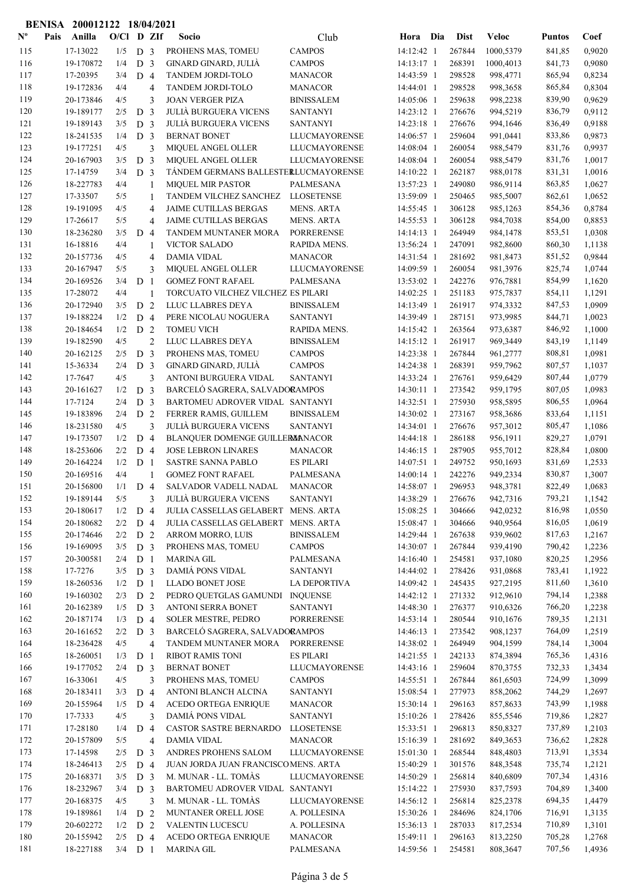|                           |      | BENISA 200012122 18/04/2021 |              |                                  |                |                                                              |                                        |                          |                  |                      |                  |                  |
|---------------------------|------|-----------------------------|--------------|----------------------------------|----------------|--------------------------------------------------------------|----------------------------------------|--------------------------|------------------|----------------------|------------------|------------------|
| $\mathbf{N}^{\mathbf{o}}$ | Pais | Anilla                      | $O/C1$ D ZIf |                                  |                | Socio                                                        | Club                                   | Hora Dia                 | Dist             | <b>Veloc</b>         | <b>Puntos</b>    | Coef             |
| 115                       |      | 17-13022                    | 1/5          | D <sub>3</sub>                   |                | PROHENS MAS, TOMEU                                           | <b>CAMPOS</b>                          | 14:12:42 1               | 267844           | 1000.5379            | 841,85           | 0,9020           |
| 116                       |      | 19-170872                   | 1/4          | D <sub>3</sub>                   |                | GINARD GINARD, JULIÀ                                         | <b>CAMPOS</b>                          | 14:13:17 1               | 268391           | 1000,4013            | 841,73           | 0,9080           |
| 117                       |      | 17-20395                    | 3/4          | D <sub>4</sub>                   |                | TANDEM JORDI-TOLO                                            | <b>MANACOR</b>                         | 14:43:59 1               | 298528           | 998,4771             | 865,94           | 0,8234           |
| 118                       |      | 19-172836                   | 4/4          |                                  | $\overline{4}$ | TANDEM JORDI-TOLO                                            | <b>MANACOR</b>                         | 14:44:01 1               | 298528           | 998,3658             | 865,84           | 0,8304           |
| 119                       |      | 20-173846                   | 4/5          |                                  | 3              | <b>JOAN VERGER PIZA</b>                                      | <b>BINISSALEM</b>                      | 14:05:06 1               | 259638           | 998,2238             | 839,90           | 0,9629           |
| 120<br>121                |      | 19-189177<br>19-189143      | 2/5<br>3/5   | D <sub>3</sub><br>D <sub>3</sub> |                | <b>JULIÀ BURGUERA VICENS</b><br><b>JULIÀ BURGUERA VICENS</b> | <b>SANTANYI</b><br><b>SANTANYI</b>     | 14:23:12 1<br>14:23:18 1 | 276676<br>276676 | 994,5219<br>994,1646 | 836,79<br>836,49 | 0,9112<br>0,9188 |
| 122                       |      | 18-241535                   | 1/4          | D <sub>3</sub>                   |                | <b>BERNAT BONET</b>                                          | <b>LLUCMAYORENSE</b>                   | 14:06:57 1               | 259604           | 991,0441             | 833,86           | 0,9873           |
| 123                       |      | 19-177251                   | 4/5          |                                  | 3              | MIQUEL ANGEL OLLER                                           | <b>LLUCMAYORENSE</b>                   | 14:08:04 1               | 260054           | 988,5479             | 831,76           | 0,9937           |
| 124                       |      | 20-167903                   | 3/5          | D <sub>3</sub>                   |                | MIQUEL ANGEL OLLER                                           | <b>LLUCMAYORENSE</b>                   | 14:08:04 1               | 260054           | 988,5479             | 831,76           | 1,0017           |
| 125                       |      | 17-14759                    | 3/4          | D <sub>3</sub>                   |                | TÁNDEM GERMANS BALLESTERLUCMAYORENSE                         |                                        | 14:10:22 1               | 262187           | 988,0178             | 831,31           | 1,0016           |
| 126                       |      | 18-227783                   | 4/4          |                                  | 1              | <b>MIQUEL MIR PASTOR</b>                                     | PALMESANA                              | 13:57:23 1               | 249080           | 986,9114             | 863,85           | 1,0627           |
| 127                       |      | 17-33507                    | 5/5          |                                  | 1              | TANDEM VILCHEZ SANCHEZ                                       | <b>LLOSETENSE</b>                      | 13:59:09 1               | 250465           | 985,5007             | 862,61           | 1,0652           |
| 128                       |      | 19-191095                   | 4/5          |                                  | $\overline{4}$ | <b>JAIME CUTILLAS BERGAS</b>                                 | <b>MENS. ARTA</b>                      | 14:55:45 1               | 306128           | 985,1263             | 854,36           | 0,8784           |
| 129                       |      | 17-26617                    | 5/5          |                                  | 4              | JAIME CUTILLAS BERGAS                                        | <b>MENS. ARTA</b>                      | 14:55:53 1               | 306128           | 984,7038             | 854,00           | 0,8853           |
| 130                       |      | 18-236280                   | 3/5          | D <sub>4</sub>                   |                | TANDEM MUNTANER MORA                                         | <b>PORRERENSE</b>                      | 14:14:13 1               | 264949           | 984,1478             | 853,51           | 1,0308           |
| 131                       |      | 16-18816                    | 4/4          |                                  | 1              | <b>VICTOR SALADO</b>                                         | RAPIDA MENS.                           | 13:56:24 1               | 247091           | 982,8600             | 860,30           | 1,1138           |
| 132<br>133                |      | 20-157736<br>20-167947      | 4/5<br>5/5   |                                  | $\overline{4}$ | <b>DAMIA VIDAL</b><br>MIQUEL ANGEL OLLER                     | <b>MANACOR</b><br><b>LLUCMAYORENSE</b> | 14:31:54 1<br>14:09:59 1 | 281692<br>260054 | 981,8473<br>981,3976 | 851,52<br>825,74 | 0,9844<br>1,0744 |
| 134                       |      | 20-169526                   | 3/4          | D <sub>1</sub>                   | 3              | <b>GOMEZ FONT RAFAEL</b>                                     | <b>PALMESANA</b>                       | 13:53:02 1               | 242276           | 976,7881             | 854,99           | 1,1620           |
| 135                       |      | 17-28072                    | 4/4          |                                  | 1              | TORCUATO VILCHEZ VILCHEZ ES PILARI                           |                                        | 14:02:25 1               | 251183           | 975,7837             | 854,11           | 1,1291           |
| 136                       |      | 20-172940                   | 3/5          | D <sub>2</sub>                   |                | LLUC LLABRES DEYA                                            | <b>BINISSALEM</b>                      | 14:13:49 1               | 261917           | 974,3332             | 847,53           | 1,0909           |
| 137                       |      | 19-188224                   | 1/2          | D 4                              |                | PERE NICOLAU NOGUERA                                         | <b>SANTANYI</b>                        | 14:39:49 1               | 287151           | 973,9985             | 844,71           | 1,0023           |
| 138                       |      | 20-184654                   | 1/2          | D <sub>2</sub>                   |                | <b>TOMEU VICH</b>                                            | RAPIDA MENS.                           | 14:15:42 1               | 263564           | 973,6387             | 846,92           | 1,1000           |
| 139                       |      | 19-182590                   | 4/5          |                                  | $\overline{2}$ | LLUC LLABRES DEYA                                            | <b>BINISSALEM</b>                      | 14:15:12 1               | 261917           | 969,3449             | 843,19           | 1,1149           |
| 140                       |      | 20-162125                   | 2/5          | D <sub>3</sub>                   |                | PROHENS MAS, TOMEU                                           | <b>CAMPOS</b>                          | 14:23:38 1               | 267844           | 961,2777             | 808,81           | 1,0981           |
| 141                       |      | 15-36334                    | 2/4          | D <sub>3</sub>                   |                | GINARD GINARD, JULIÀ                                         | <b>CAMPOS</b>                          | 14:24:38 1               | 268391           | 959,7962             | 807,57           | 1,1037           |
| 142                       |      | 17-7647                     | 4/5          |                                  | 3              | ANTONI BURGUERA VIDAL                                        | <b>SANTANYI</b>                        | 14:33:24 1               | 276761           | 959,6429             | 807,44           | 1,0779           |
| 143                       |      | 20-161627                   | 1/2          | D <sub>3</sub>                   |                | BARCELÓ SAGRERA, SALVADORAMPOS                               |                                        | 14:30:11 1               | 273542           | 959,1795             | 807,05           | 1,0983           |
| 144                       |      | 17-7124                     | 2/4          | D <sub>3</sub>                   |                | BARTOMEU ADROVER VIDAL SANTANYI                              |                                        | 14:32:51 1               | 275930           | 958,5895             | 806,55           | 1,0964           |
| 145<br>146                |      | 19-183896<br>18-231580      | 2/4<br>4/5   | D <sub>2</sub>                   | 3              | FERRER RAMIS, GUILLEM<br><b>JULIÀ BURGUERA VICENS</b>        | <b>BINISSALEM</b><br><b>SANTANYI</b>   | 14:30:02 1<br>14:34:01 1 | 273167<br>276676 | 958,3686<br>957,3012 | 833,64<br>805,47 | 1,1151<br>1,1086 |
| 147                       |      | 19-173507                   | 1/2          | D <sub>4</sub>                   |                | BLANQUER DOMENGE GUILLERMANACOR                              |                                        | 14:44:18 1               | 286188           | 956,1911             | 829,27           | 1,0791           |
| 148                       |      | 18-253606                   | 2/2          | D <sub>4</sub>                   |                | <b>JOSE LEBRON LINARES</b>                                   | <b>MANACOR</b>                         | 14:46:15 1               | 287905           | 955,7012             | 828,84           | 1,0800           |
| 149                       |      | 20-164224                   | 1/2          | D <sub>1</sub>                   |                | <b>SASTRE SANNA PABLO</b>                                    | <b>ES PILARI</b>                       | 14:07:51 1               | 249752           | 950,1693             | 831,69           | 1,2533           |
| 150                       |      | 20-169516                   | 4/4          |                                  | 1              | <b>GOMEZ FONT RAFAEL</b>                                     | <b>PALMESANA</b>                       | 14:00:14 1               | 242276           | 949,2334             | 830,87           | 1,3007           |
| 151                       |      | 20-156800                   | $1/1$ D 4    |                                  |                | SALVADOR VADELL NADAL                                        | <b>MANACOR</b>                         | 14:58:07 1               | 296953           | 948,3781             | 822,49           | 1,0683           |
| 152                       |      | 19-189144                   | 5/5          |                                  | 3              | <b>JULIÀ BURGUERA VICENS</b>                                 | <b>SANTANYI</b>                        | 14:38:29 1               | 276676           | 942,7316             | 793,21           | 1,1542           |
| 153                       |      | 20-180617                   | 1/2          | D <sub>4</sub>                   |                | JULIA CASSELLAS GELABERT MENS. ARTA                          |                                        | 15:08:25 1               | 304666           | 942,0232             | 816,98           | 1,0550           |
| 154                       |      | 20-180682                   | 2/2          | D <sub>4</sub>                   |                | JULIA CASSELLAS GELABERT MENS. ARTA                          |                                        | 15:08:47 1               | 304666           | 940,9564             | 816,05           | 1,0619           |
| 155                       |      | 20-174646                   | 2/2          | D <sub>2</sub>                   |                | <b>ARROM MORRO, LUIS</b>                                     | <b>BINISSALEM</b>                      | 14:29:44 1               | 267638           | 939,9602             | 817,63           | 1,2167           |
| 156                       |      | 19-169095                   | 3/5          | D <sub>3</sub>                   |                | PROHENS MAS, TOMEU                                           | <b>CAMPOS</b>                          | 14:30:07 1               | 267844           | 939,4190             | 790,42           | 1,2236           |
| 157                       |      | 20-300581                   | 2/4          | D <sub>1</sub>                   |                | <b>MARINA GIL</b>                                            | PALMESANA                              | 14:16:40 1               | 254581           | 937,1080             | 820,25           | 1,2956           |
| 158<br>159                |      | 17-7276<br>18-260536        | 3/5<br>1/2   | D <sub>3</sub>                   |                | DAMIÁ PONS VIDAL<br>LLADO BONET JOSE                         | <b>SANTANYI</b><br><b>LA DEPORTIVA</b> | 14:44:02 1<br>14:09:42 1 | 278426<br>245435 | 931,0868<br>927,2195 | 783,41<br>811,60 | 1,1922<br>1,3610 |
| 160                       |      | 19-160302                   | 2/3          | D <sub>1</sub><br>D <sub>2</sub> |                | PEDRO QUETGLAS GAMUNDI INQUENSE                              |                                        | 14:42:12 1               | 271332           | 912,9610             | 794,14           | 1,2388           |
| 161                       |      | 20-162389                   | 1/5          | D <sub>3</sub>                   |                | ANTONI SERRA BONET                                           | <b>SANTANYI</b>                        | 14:48:30 1               | 276377           | 910,6326             | 766,20           | 1,2238           |
| 162                       |      | 20-187174                   | 1/3          | D <sub>4</sub>                   |                | SOLER MESTRE, PEDRO                                          | <b>PORRERENSE</b>                      | 14:53:14 1               | 280544           | 910,1676             | 789,35           | 1,2131           |
| 163                       |      | 20-161652                   | 2/2          | D <sub>3</sub>                   |                | BARCELÓ SAGRERA, SALVADORAMPOS                               |                                        | 14:46:13 1               | 273542           | 908,1237             | 764,09           | 1,2519           |
| 164                       |      | 18-236428                   | 4/5          |                                  | $\overline{4}$ | TANDEM MUNTANER MORA                                         | <b>PORRERENSE</b>                      | 14:38:02 1               | 264949           | 904,1599             | 784,14           | 1,3004           |
| 165                       |      | 18-260051                   | 1/3          | D <sub>1</sub>                   |                | <b>RIBOT RAMIS TONI</b>                                      | <b>ES PILARI</b>                       | 14:21:55 1               | 242133           | 874,3894             | 765,36           | 1,4316           |
| 166                       |      | 19-177052                   | 2/4          | D <sub>3</sub>                   |                | <b>BERNAT BONET</b>                                          | <b>LLUCMAYORENSE</b>                   | 14:43:16 1               | 259604           | 870,3755             | 732,33           | 1,3434           |
| 167                       |      | 16-33061                    | 4/5          |                                  | 3              | PROHENS MAS, TOMEU                                           | <b>CAMPOS</b>                          | 14:55:51 1               | 267844           | 861,6503             | 724,99           | 1,3099           |
| 168                       |      | 20-183411                   | 3/3          | D <sub>4</sub>                   |                | ANTONI BLANCH ALCINA                                         | <b>SANTANYI</b>                        | 15:08:54 1               | 277973           | 858,2062             | 744,29           | 1,2697           |
| 169                       |      | 20-155964                   | 1/5          | D 4                              |                | ACEDO ORTEGA ENRIQUE                                         | <b>MANACOR</b>                         | 15:30:14 1               | 296163           | 857,8633             | 743,99           | 1,1988           |
| 170                       |      | 17-7333                     | 4/5          |                                  | 3              | DAMIÁ PONS VIDAL                                             | <b>SANTANYI</b>                        | 15:10:26 1               | 278426           | 855,5546             | 719,86           | 1,2827           |
| 171<br>172                |      | 17-28180<br>20-157809       | 1/4<br>5/5   | D 4                              |                | CASTOR SASTRE BERNARDO<br><b>DAMIA VIDAL</b>                 | <b>LLOSETENSE</b><br><b>MANACOR</b>    | 15:33:51 1<br>15:16:39 1 | 296813<br>281692 | 850,8327             | 737,89           | 1,2103           |
| 173                       |      | 17-14598                    | 2/5          | D <sub>3</sub>                   | $\overline{4}$ | ANDRES PROHENS SALOM                                         | <b>LLUCMAYORENSE</b>                   | 15:01:30 1               | 268544           | 849,3653<br>848,4803 | 736,62<br>713,91 | 1,2828<br>1,3534 |
| 174                       |      | 18-246413                   | 2/5          | D <sub>4</sub>                   |                | JUAN JORDA JUAN FRANCISCOMENS. ARTA                          |                                        | 15:40:29 1               | 301576           | 848,3548             | 735,74           | 1,2121           |
| 175                       |      | 20-168371                   | 3/5          | D 3                              |                | M. MUNAR - LL. TOMÀS                                         | LLUCMAYORENSE                          | 14:50:29 1               | 256814           | 840,6809             | 707,34           | 1,4316           |
| 176                       |      | 18-232967                   | 3/4          | D <sub>3</sub>                   |                | BARTOMEU ADROVER VIDAL SANTANYI                              |                                        | 15:14:22 1               | 275930           | 837,7593             | 704,89           | 1,3400           |
| 177                       |      | 20-168375                   | 4/5          |                                  | 3              | M. MUNAR - LL. TOMÀS                                         | LLUCMAYORENSE                          | 14:56:12 1               | 256814           | 825,2378             | 694,35           | 1,4479           |
| 178                       |      | 19-189861                   | 1/4          | D <sub>2</sub>                   |                | MUNTANER ORELL JOSE                                          | A. POLLESINA                           | 15:30:26 1               | 284696           | 824,1706             | 716,91           | 1,3135           |
| 179                       |      | 20-602272                   | 1/2          | D <sub>2</sub>                   |                | VALENTIN LUCESCU                                             | A. POLLESINA                           | 15:36:13 1               | 287033           | 817,2534             | 710,89           | 1,3101           |
| 180                       |      | 20-155942                   | 2/5          | D 4                              |                | ACEDO ORTEGA ENRIQUE                                         | <b>MANACOR</b>                         | 15:49:11 1               | 296163           | 813,2250             | 705,28           | 1,2768           |
| 181                       |      | 18-227188                   | $3/4$ D 1    |                                  |                | <b>MARINA GIL</b>                                            | PALMESANA                              | 14:59:56 1               | 254581           | 808,3647             | 707,56           | 1,4936           |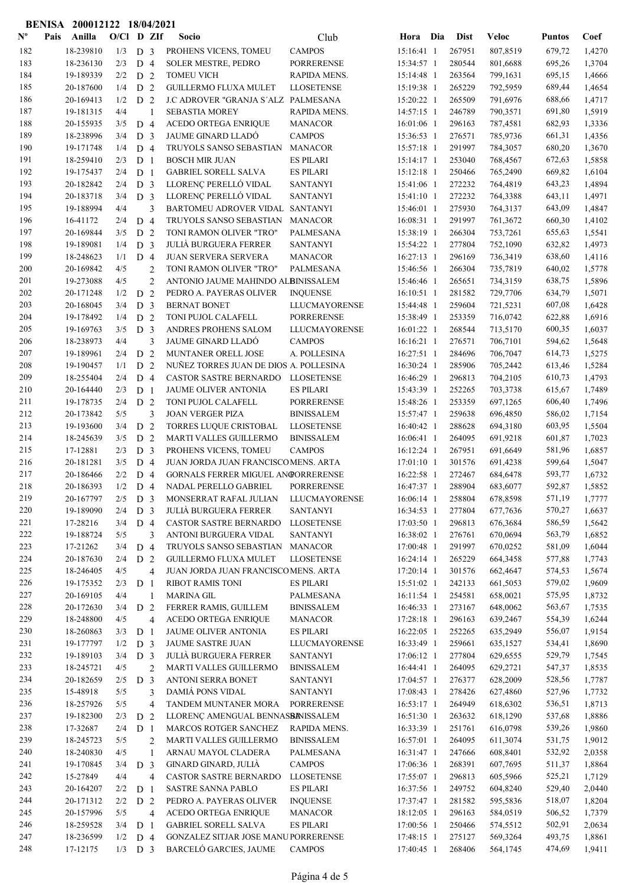|                           |      | BENISA 200012122 18/04/2021 |              |                       |                     |                                                                           |                                |                          |                  |                      |                  |                  |
|---------------------------|------|-----------------------------|--------------|-----------------------|---------------------|---------------------------------------------------------------------------|--------------------------------|--------------------------|------------------|----------------------|------------------|------------------|
| $\mathbf{N}^{\mathbf{o}}$ | Pais | Anilla                      | $O/C1$ D ZIf |                       |                     | Socio                                                                     | Club                           | Hora Dia                 | <b>Dist</b>      | <b>Veloc</b>         | <b>Puntos</b>    | Coef             |
| 182                       |      | 18-239810                   | 1/3          | D <sub>3</sub>        |                     | PROHENS VICENS, TOMEU                                                     | <b>CAMPOS</b>                  | 15:16:41 1               | 267951           | 807,8519             | 679,72           | 1,4270           |
| 183                       |      | 18-236130                   | 2/3          | D <sub>4</sub>        |                     | <b>SOLER MESTRE, PEDRO</b>                                                | <b>PORRERENSE</b>              | 15:34:57 1               | 280544           | 801,6688             | 695,26           | 1,3704           |
| 184                       |      | 19-189339                   | 2/2          | D <sub>2</sub>        |                     | <b>TOMEU VICH</b>                                                         | RAPIDA MENS.                   | 15:14:48 1               | 263564           | 799,1631             | 695,15           | 1,4666           |
| 185                       |      | 20-187600                   | 1/4          | D <sub>2</sub>        |                     | <b>GUILLERMO FLUXA MULET</b>                                              | <b>LLOSETENSE</b>              | 15:19:38 1               | 265229           | 792,5959             | 689,44           | 1,4654           |
| 186                       |      | 20-169413                   | 1/2          | D <sub>2</sub>        |                     | J.C ADROVER "GRANJA S'ALZ PALMESANA                                       |                                | 15:20:22 1               | 265509           | 791,6976             | 688,66           | 1,4717           |
| 187                       |      | 19-181315                   | 4/4          |                       | $\mathbf{1}$        | <b>SEBASTIA MOREY</b>                                                     | RAPIDA MENS.                   | 14:57:15 1               | 246789           | 790,3571             | 691,80           | 1,5919           |
| 188                       |      | 20-155935                   | 3/5          | D <sub>4</sub>        |                     | <b>ACEDO ORTEGA ENRIQUE</b>                                               | <b>MANACOR</b>                 | 16:01:06 1               | 296163           | 787,4581             | 682,93           | 1,3336           |
| 189                       |      | 18-238996                   | 3/4          | D <sub>3</sub>        |                     | <b>JAUME GINARD LLADÓ</b>                                                 | <b>CAMPOS</b>                  | 15:36:53 1               | 276571           | 785,9736             | 661,31           | 1,4356           |
| 190                       |      | 19-171748                   | 1/4          | D <sub>4</sub>        |                     | TRUYOLS SANSO SEBASTIAN                                                   | <b>MANACOR</b>                 | 15:57:18 1               | 291997           | 784,3057             | 680,20           | 1,3670           |
| 191                       |      | 18-259410                   | 2/3          | D <sub>1</sub>        |                     | <b>BOSCH MIR JUAN</b>                                                     | <b>ES PILARI</b>               | 15:14:17 1               | 253040           | 768,4567             | 672,63           | 1,5858           |
| 192                       |      | 19-175437                   | 2/4          | D <sub>1</sub>        |                     | <b>GABRIEL SORELL SALVA</b>                                               | <b>ES PILARI</b>               | 15:12:18 1               | 250466           | 765,2490             | 669,82           | 1,6104           |
| 193                       |      | 20-182842                   | 2/4          | D <sub>3</sub>        |                     | LLORENÇ PERELLÓ VIDAL<br>LLORENÇ PERELLÓ VIDAL                            | <b>SANTANYI</b>                | 15:41:06 1               | 272232           | 764,4819             | 643,23           | 1,4894           |
| 194<br>195                |      | 20-183718<br>19-188994      | 3/4<br>4/4   | D <sub>3</sub>        | 3                   | BARTOMEU ADROVER VIDAL SANTANYI                                           | <b>SANTANYI</b>                | 15:41:10 1               | 272232<br>275930 | 764,3388             | 643,11<br>643,09 | 1,4971<br>1,4847 |
| 196                       |      | 16-41172                    | 2/4          | D <sub>4</sub>        |                     | TRUYOLS SANSO SEBASTIAN                                                   | <b>MANACOR</b>                 | 15:46:01 1<br>16:08:31 1 | 291997           | 764,3137<br>761,3672 | 660,30           | 1,4102           |
| 197                       |      | 20-169844                   | 3/5          | D <sub>2</sub>        |                     | TONI RAMON OLIVER "TRO"                                                   | <b>PALMESANA</b>               | 15:38:19 1               | 266304           | 753,7261             | 655,63           | 1,5541           |
| 198                       |      | 19-189081                   | 1/4          | D <sub>3</sub>        |                     | <b>JULIÀ BURGUERA FERRER</b>                                              | <b>SANTANYI</b>                | 15:54:22 1               | 277804           | 752,1090             | 632,82           | 1,4973           |
| 199                       |      | 18-248623                   | 1/1          | D <sub>4</sub>        |                     | JUAN SERVERA SERVERA                                                      | <b>MANACOR</b>                 | 16:27:13 1               | 296169           | 736,3419             | 638,60           | 1,4116           |
| 200                       |      | 20-169842                   | 4/5          |                       | $\overline{2}$      | TONI RAMON OLIVER "TRO"                                                   | <b>PALMESANA</b>               | 15:46:56 1               | 266304           | 735,7819             | 640,02           | 1,5778           |
| 201                       |      | 19-273088                   | 4/5          |                       | $\overline{2}$      | ANTONIO JAUME MAHINDO ALBINISSALEM                                        |                                | 15:46:46 1               | 265651           | 734,3159             | 638,75           | 1,5896           |
| 202                       |      | 20-171248                   | 1/2          | $\mathbf D$           | $\overline{2}$      | PEDRO A. PAYERAS OLIVER                                                   | <b>INQUENSE</b>                | $16:10:51$ 1             | 281582           | 729,7706             | 634,79           | 1,5071           |
| 203                       |      | 20-168045                   | 3/4          | D <sub>3</sub>        |                     | <b>BERNAT BONET</b>                                                       | LLUCMAYORENSE                  | 15:44:48 1               | 259604           | 721,5231             | 607,08           | 1,6428           |
| 204                       |      | 19-178492                   | 1/4          | D <sub>2</sub>        |                     | TONI PUJOL CALAFELL                                                       | <b>PORRERENSE</b>              | 15:38:49 1               | 253359           | 716,0742             | 622,88           | 1,6916           |
| 205                       |      | 19-169763                   | 3/5          | D <sub>3</sub>        |                     | ANDRES PROHENS SALOM                                                      | <b>LLUCMAYORENSE</b>           | 16:01:22 1               | 268544           | 713,5170             | 600,35           | 1,6037           |
| 206                       |      | 18-238973                   | 4/4          |                       | 3                   | JAUME GINARD LLADÓ                                                        | <b>CAMPOS</b>                  | 16:16:21 1               | 276571           | 706,7101             | 594,62           | 1,5648           |
| 207                       |      | 19-189961                   | 2/4          | D <sub>2</sub>        |                     | MUNTANER ORELL JOSE                                                       | A. POLLESINA                   | 16:27:51 1               | 284696           | 706,7047             | 614,73           | 1,5275           |
| 208                       |      | 19-190457                   | 1/1          | D <sub>2</sub>        |                     | NUÑEZ TORRES JUAN DE DIOS A. POLLESINA                                    |                                | 16:30:24 1               | 285906           | 705,2442             | 613,46           | 1,5284           |
| 209                       |      | 18-255404                   | 2/4          | D <sub>4</sub>        |                     | CASTOR SASTRE BERNARDO LLOSETENSE                                         |                                | 16:46:29 1               | 296813           | 704,2105             | 610,73           | 1,4793           |
| 210                       |      | 20-164440                   | 2/3          | D <sub>1</sub>        |                     | JAUME OLIVER ANTONIA                                                      | <b>ES PILARI</b>               | 15:43:39 1               | 252265           | 703,3738             | 615,67           | 1,7489           |
| 211                       |      | 19-178735                   | 2/4          | D <sub>2</sub>        |                     | TONI PUJOL CALAFELL                                                       | <b>PORRERENSE</b>              | 15:48:26 1               | 253359           | 697,1265             | 606,40           | 1,7496           |
| 212                       |      | 20-173842                   | 5/5          |                       | 3                   | <b>JOAN VERGER PIZA</b>                                                   | <b>BINISSALEM</b>              | 15:57:47 1               | 259638           | 696,4850             | 586,02           | 1,7154           |
| 213                       |      | 19-193600                   | 3/4          | D <sub>2</sub>        |                     | <b>TORRES LUQUE CRISTOBAL</b>                                             | <b>LLOSETENSE</b>              | 16:40:42 1               | 288628           | 694,3180             | 603,95           | 1,5504           |
| 214                       |      | 18-245639                   | 3/5          | D <sub>2</sub>        |                     | MARTI VALLES GUILLERMO                                                    | <b>BINISSALEM</b>              | 16:06:41 1               | 264095           | 691,9218             | 601,87           | 1,7023           |
| 215                       |      | 17-12881                    | 2/3          | D <sub>3</sub>        |                     | PROHENS VICENS, TOMEU                                                     | <b>CAMPOS</b>                  | 16:12:24 1               | 267951           | 691,6649             | 581,96           | 1,6857           |
| 216<br>217                |      | 20-181281<br>20-186466      | 3/5<br>2/2   | D <sub>4</sub>        |                     | JUAN JORDA JUAN FRANCISCOMENS. ARTA<br>GORNALS FERRER MIGUEL ANGORRERENSE |                                | 17:01:10 1<br>16:22:58 1 | 301576<br>272467 | 691,4238<br>684,6478 | 599,64           | 1,5047<br>1,6732 |
| 218                       |      | 20-186393                   | 1/2          | D <sub>4</sub><br>D 4 |                     | NADAL PERELLO GABRIEL                                                     | <b>PORRERENSE</b>              | 16:47:37 1               | 288904           | 683,6077             | 593,77<br>592,87 | 1,5852           |
| 219                       |      | 20-167797                   | 2/5          | D <sub>3</sub>        |                     | MONSERRAT RAFAL JULIAN                                                    | LLUCMAYORENSE                  | 16:06:14 1               | 258804           | 678,8598             | 571,19           | 1,7777           |
| 220                       |      | 19-189090                   | 2/4          | D <sub>3</sub>        |                     | <b>JULIÀ BURGUERA FERRER</b>                                              | <b>SANTANYI</b>                | 16:34:53 1               | 277804           | 677,7636             | 570,27           | 1,6637           |
| 221                       |      | 17-28216                    | 3/4          | D <sub>4</sub>        |                     | CASTOR SASTRE BERNARDO                                                    | <b>LLOSETENSE</b>              | 17:03:50 1               | 296813           | 676,3684             | 586,59           | 1,5642           |
| 222                       |      | 19-188724                   | 5/5          |                       | 3                   | ANTONI BURGUERA VIDAL                                                     | <b>SANTANYI</b>                | 16:38:02 1               | 276761           | 670,0694             | 563,79           | 1,6852           |
| 223                       |      | 17-21262                    | 3/4          | D <sub>4</sub>        |                     | TRUYOLS SANSO SEBASTIAN                                                   | <b>MANACOR</b>                 | 17:00:48 1               | 291997           | 670,0252             | 581,09           | 1,6044           |
| 224                       |      | 20-187630                   | 2/4          | D <sub>2</sub>        |                     | <b>GUILLERMO FLUXA MULET</b>                                              | <b>LLOSETENSE</b>              | 16:24:14 1               | 265229           | 664,3458             | 577,88           | 1,7743           |
| 225                       |      | 18-246405                   | 4/5          |                       | 4                   | JUAN JORDA JUAN FRANCISCOMENS. ARTA                                       |                                | 17:20:14 1               | 301576           | 662,4647             | 574,53           | 1,5674           |
| 226                       |      | 19-175352                   | 2/3          | D <sub>1</sub>        |                     | <b>RIBOT RAMIS TONI</b>                                                   | <b>ES PILARI</b>               | 15:51:02 1               | 242133           | 661,5053             | 579,02           | 1,9609           |
| $227\,$                   |      | 20-169105                   | 4/4          |                       | 1                   | <b>MARINA GIL</b>                                                         | PALMESANA                      | 16:11:54 1               | 254581           | 658,0021             | 575,95           | 1,8732           |
| 228                       |      | 20-172630                   | 3/4          | D <sub>2</sub>        |                     | FERRER RAMIS, GUILLEM                                                     | <b>BINISSALEM</b>              | 16:46:33 1               | 273167           | 648,0062             | 563,67           | 1,7535           |
| 229                       |      | 18-248800                   | 4/5          |                       | 4                   | ACEDO ORTEGA ENRIQUE                                                      | <b>MANACOR</b>                 | 17:28:18 1               | 296163           | 639,2467             | 554,39           | 1,6244           |
| 230                       |      | 18-260863                   | 3/3          | D <sub>1</sub>        |                     | JAUME OLIVER ANTONIA                                                      | <b>ES PILARI</b>               | 16:22:05 1               | 252265           | 635,2949             | 556,07           | 1,9154           |
| 231                       |      | 19-177797                   | 1/2          | D <sub>3</sub>        |                     | JAUME SASTRE JUAN                                                         | LLUCMAYORENSE                  | 16:33:49 1               | 259661           | 635,1527             | 534,41           | 1,8690           |
| 232                       |      | 19-189103                   | 3/4          | D <sub>3</sub>        |                     | <b>JULIÀ BURGUERA FERRER</b>                                              | <b>SANTANYI</b>                | 17:06:12 1               | 277804           | 629,6555             | 529,79           | 1,7545           |
| 233                       |      | 18-245721                   | 4/5          |                       | $\overline{2}$      | MARTI VALLES GUILLERMO                                                    | <b>BINISSALEM</b>              | 16:44:41 1               | 264095           | 629,2721             | 547,37           | 1,8535           |
| 234                       |      | 20-182659                   | 2/5          | D <sub>3</sub>        |                     | ANTONI SERRA BONET                                                        | SANTANYI                       | 17:04:57 1               | 276377           | 628,2009             | 528,56           | 1,7787           |
| 235                       |      | 15-48918                    | 5/5          |                       | 3                   | DAMIÁ PONS VIDAL                                                          | <b>SANTANYI</b>                | 17:08:43 1               | 278426           | 627,4860             | 527,96           | 1,7732           |
| 236                       |      | 18-257926                   | 5/5          |                       | 4                   | TANDEM MUNTANER MORA                                                      | <b>PORRERENSE</b>              | 16:53:17 1               | 264949           | 618,6302             | 536,51           | 1,8713           |
| 237                       |      | 19-182300                   | 2/3          | D <sub>2</sub>        |                     | LLORENÇ AMENGUAL BENNASBANISSALEM                                         |                                | 16:51:30 1               | 263632           | 618,1290             | 537,68           | 1,8886           |
| 238<br>239                |      | 17-32687<br>18-245723       | 2/4<br>5/5   | D <sub>1</sub>        |                     | MARCOS ROTGER SANCHEZ                                                     | RAPIDA MENS.                   | 16:33:39 1               | 251761<br>264095 | 616,0798             | 539,26           | 1,9860           |
| 240                       |      | 18-240830                   | 4/5          |                       | $\overline{c}$<br>1 | MARTI VALLES GUILLERMO<br>ARNAU MAYOL CLADERA                             | <b>BINISSALEM</b><br>PALMESANA | 16:57:01 1<br>16:31:47 1 | 247666           | 611,3074<br>608,8401 | 531,75<br>532,92 | 1,9012<br>2,0358 |
| 241                       |      | 19-170845                   | 3/4          | D <sub>3</sub>        |                     | GINARD GINARD, JULIÀ                                                      | <b>CAMPOS</b>                  | 17:06:36 1               | 268391           | 607,7695             | 511,37           | 1,8864           |
| 242                       |      | 15-27849                    | 4/4          |                       | 4                   | CASTOR SASTRE BERNARDO                                                    | <b>LLOSETENSE</b>              | 17:55:07 1               | 296813           | 605,5966             | 525,21           | 1,7129           |
| 243                       |      | 20-164207                   | 2/2          | D <sub>1</sub>        |                     | <b>SASTRE SANNA PABLO</b>                                                 | <b>ES PILARI</b>               | 16:37:56 1               | 249752           | 604,8240             | 529,40           | 2,0440           |
| 244                       |      | 20-171312                   | 2/2          | D <sub>2</sub>        |                     | PEDRO A. PAYERAS OLIVER                                                   | <b>INQUENSE</b>                | 17:37:47 1               | 281582           | 595,5836             | 518,07           | 1,8204           |
| 245                       |      | 20-157996                   | 5/5          |                       | 4                   | ACEDO ORTEGA ENRIQUE                                                      | <b>MANACOR</b>                 | 18:12:05 1               | 296163           | 584,0519             | 506,52           | 1,7379           |
| 246                       |      | 18-259528                   | 3/4          | D <sub>1</sub>        |                     | <b>GABRIEL SORELL SALVA</b>                                               | <b>ES PILARI</b>               | 17:00:56 1               | 250466           | 574,5512             | 502,91           | 2,0634           |
| 247                       |      | 18-236599                   | 1/2          | D <sub>4</sub>        |                     | GONZALEZ SITJAR JOSE MANUPORRERENSE                                       |                                | 17:48:15 1               | 275127           | 569,3264             | 493,75           | 1,8861           |
| 248                       |      | 17-12175                    | $1/3$ D 3    |                       |                     | BARCELÓ GARCIES, JAUME                                                    | <b>CAMPOS</b>                  | 17:40:45 1               | 268406           | 564,1745             | 474,69           | 1,9411           |